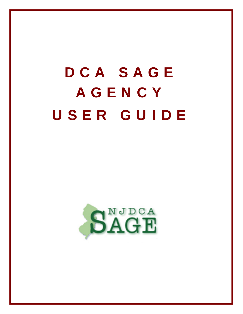# DCA SAGE AGENCY USER GUIDE

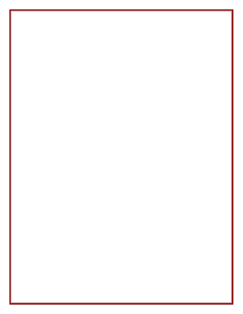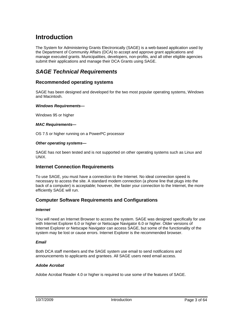# **Introduction**

The System for Administering Grants Electronically (SAGE) is a web-based application used by the Department of Community Affairs (DCA) to accept and approve grant applications and manage executed grants. Municipalities, developers, non-profits, and all other eligible agencies submit their applications and manage their DCA Grants using SAGE.

### *SAGE Technical Requirements*

#### **Recommended operating systems**

SAGE has been designed and developed for the two most popular operating systems, Windows and Macintosh.

#### *Windows Requirements—*

Windows 95 or higher

#### *MAC Requirements—*

OS 7.5 or higher running on a PowerPC processor

#### *Other operating systems—*

SAGE has not been tested and is not supported on other operating systems such as Linux and UNIX.

#### **Internet Connection Requirements**

To use SAGE, you must have a connection to the Internet. No ideal connection speed is necessary to access the site. A standard modem connection (a phone line that plugs into the back of a computer) is acceptable; however, the faster your connection to the Internet, the more efficiently SAGE will run.

#### **Computer Software Requirements and Configurations**

#### *Internet*

You will need an Internet Browser to access the system. SAGE was designed specifically for use with Internet Explorer 6.0 or higher or Netscape Navigator 6.0 or higher. Older versions of Internet Explorer or Netscape Navigator can access SAGE, but some of the functionality of the system may be lost or cause errors. Internet Explorer is the recommended browser.

#### *Email*

Both DCA staff members and the SAGE system use email to send notifications and announcements to applicants and grantees. All SAGE users need email access.

#### *Adobe Acrobat*

Adobe Acrobat Reader 4.0 or higher is required to use some of the features of SAGE.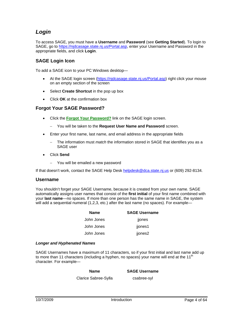### <span id="page-3-0"></span>*Login*

To access SAGE, you must have a **Username** and **Password** (see **Getting Started**). To login to SAGE, go to<https://njdcasage.state.nj.us/Portal.asp>, enter your Username and Password in the appropriate fields, and click **Login**.

#### **SAGE Login Icon**

To add a SAGE icon to your PC Windows desktop—

- At the SAGE login screen [\(https://njdcasage.state.nj.us/Portal.asp](https://njdcasage.state.nj.us/Portal.asp)) right click your mouse on an empty section of the screen
- Select **Create Shortcut** in the pop up box
- Click **OK** at the confirmation box

#### **Forgot Your SAGE Password?**

- Click the **Forgot Your Password?** link on the SAGE login screen.
	- − You will be taken to the **Request User Name and Password** screen.
- Enter your first name, last name, and email address in the appropriate fields
	- − The information must *match* the information stored in SAGE that identifies you as a SAGE user
- Click **Send**
	- − You will be emailed a new password

If that doesn't work, contact the SAGE Help Desk [helpdesk@dca.state.nj.us](mailto:helpdesk@dca.state.nj.us) or (609) 292-8134.

#### **Username**

You shouldn't forget your SAGE Username, because it is created from your own name. SAGE automatically assigns user names that consist of the **first initial** of your first name combined with your **last name**—no spaces. If more than one person has the same name in SAGE, the system will add a sequential numeral (1,2,3, etc.) after the last name (no spaces). For example—

| <b>Name</b> | <b>SAGE Username</b> |
|-------------|----------------------|
| John Jones  | jiones               |
| John Jones  | jjones1              |
| John Jones  | jjones2              |

#### *Longer and Hyphenated Names*

SAGE Usernames have a maximum of 11 characters, so if your first initial and last name add up to more than 11 characters (including a hyphen, no spaces) your name will end at the 11<sup>th</sup> character. For example—

#### **Name SAGE Username**

Clarice Sabree-Sylla csabree-syl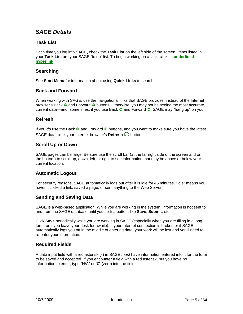### <span id="page-4-0"></span>*SAGE Details*

#### **Task List**

Each time you log into SAGE, check the **Task List** on the left side of the screen. Items listed in your **Task List** are your SAGE "to do" list. To begin working on a task, click its **underlined hyperlink**.

#### **Searching**

See **Start Menu** for information about using **Quick Links** to search.

#### **Back and Forward**

When working with SAGE, use the navigational links that SAGE provides, instead of the Internet browser's Back  $\subset \subset$  and Forward  $\supset \overline{D}$  buttons. Otherwise, you may not be seeing the most accurate, current data—and, sometimes, if you use Back  $\bullet$  and Forward  $\bullet$ , SAGE may "hang up" on you.

#### **Refresh**

If you *do* use the Back C and Forward C buttons, and you want to make sure you have the latest SAGE data, click your Internet browser's **Refresh** button.

#### **Scroll Up or Down**

SAGE pages can be large. Be sure use the scroll bar (at the far right side of the screen and on the bottom) to scroll up, down, left, or right to see information that may be above or below your current location.

#### **Automatic Logout**

For security reasons, SAGE automatically logs out after it is idle for 45 minutes. "Idle" means you haven't clicked a link, saved a page, or sent anything to the Web Server.

#### **Sending and Saving Data**

SAGE is a web-based application. While you are working in the system, information is not sent to and from the SAGE database until you click a button, like **Save**, **Submit**, etc.

Click **Save** periodically while you are working in SAGE (especially when you are filling in a long form, or if you leave your desk for awhile). If your Internet connection is broken or if SAGE automatically logs you off in the middle of entering data, your work will be lost and you'll need to re-enter your information.

#### **Required Fields**

A data input field with a red asterisk (∗) in SAGE *must* have information entered into it for the form to be saved and accepted. If you encounter a field with a red asterisk, but you have no information to enter, type "N/A" or "0" (zero) into the field.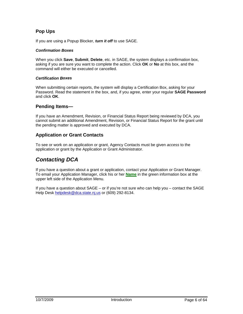### **Pop Ups**

If you are using a Popup Blocker, *turn it off* to use SAGE.

#### *Confirmation Boxes*

When you click **Save**, **Submit**, **Delete**, etc. in SAGE, the system displays a confirmation box, asking if you are sure you want to complete the action. Click **OK** or **No** at this box, and the command will either be executed or cancelled.

#### **Certification Boxes**

When submitting certain reports, the system will display a Certification Box, asking for your Password. Read the statement in the box, and, if you agree, enter your regular **SAGE Password** and click **OK**.

#### **Pending Items—**

If you have an Amendment, Revision, or Financial Status Report being reviewed by DCA, you cannot submit an additional Amendment, Revision, or Financial Status Report for the grant until the pending matter is approved and executed by DCA.

#### **Application or Grant Contacts**

To see or work on an application or grant, Agency Contacts must be given *access* to the application or grant by the Application or Grant Administrator.

### *Contacting DCA*

If you have a question about a grant or application, contact your Application or Grant Manager. To email your Application Manager, click his or her **Name** in the green information box at the upper left side of the Application Menu.

If you have a question about SAGE – or if you're not sure who can help you – contact the SAGE Help Desk [helpdesk@dca.state.nj.us](mailto:helpdesk@dca.state.nj.us) or (609) 292-8134.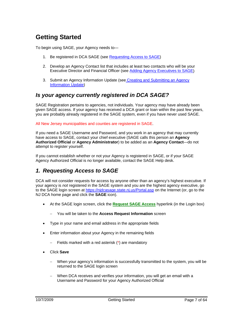# <span id="page-6-0"></span>**Getting Started**

To begin using SAGE, your Agency needs to—

- 1. Be registered in DCA SAGE (see Requesting Access to SAGE)
- 2. Develop an Agency Contact list that includes at least two contacts who will be your Executive Director and Financial Officer (see [Adding Agency Executives to SAGE\)](#page-7-0)
- 3. Submit an Agency Information Update (see [Creating and Submitting an Agency](#page-7-0) [Information Update](#page-7-0))

### *Is your agency currently registered in DCA SAGE?*

SAGE Registration pertains to agencies, not individuals. Your agency may have already been given SAGE access. If your agency has received a DCA grant or loan within the past few years, you are probably already registered in the SAGE system, even if you have never used SAGE.

All New Jersey municipalities and counties are registered in SAGE.

If you need a SAGE Username and Password, and you work in an agency that may currently have access to SAGE, contact your chief executive (SAGE calls this person an **Agency Authorized Official** or **Agency Administrator**) to be added as an **Agency Contact**—do not attempt to register yourself.

If you cannot establish whether or not your Agency is registered in SAGE, or if your SAGE Agency Authorized Official is no longer available, contact the SAGE Help desk.

### *1. Requesting Access to SAGE*

DCA will not consider requests for access by anyone other than an agency's highest executive. If your agency is *not* registered in the SAGE system and you are the highest agency executive, go to the SAGE login screen at<https://njdcasage.state.nj.us/Portal.asp> on the Internet (or, go to the NJ DCA home page and click the **SAGE** icon).

- At the SAGE login screen, click the **Request SAGE Access** hyperlink (in the Login box)
	- − You will be taken to the **Access Request Information** screen
- Type in your name and email address in the appropriate fields
- Enter information about your Agency in the remaining fields
	- Fields marked with a red asterisk (\*) are mandatory
- Click **Save**
	- When your agency's information is successfully transmitted to the system, you will be returned to the SAGE login screen
	- When DCA receives and verifies your information, you will get an email with a Username and Password for your Agency Authorized Official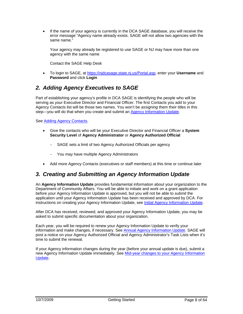<span id="page-7-0"></span>• If the name of your agency is currently in the DCA SAGE database, you will receive the error message "Agency name already exists. SAGE will not allow two agencies with the same name."

Your agency may already be registered to use SAGE or NJ may have more than one agency with the same name

Contact the SAGE Help Desk

• To login to SAGE, at [https://njdcasage.state.nj.us/Portal.asp,](https://njdcasage.state.nj.us/Portal.asp) enter your **Username** and **Password** and click **Login**

### *2. Adding Agency Executives to SAGE*

Part of establishing your agency's profile in DCA SAGE is identifying the people who will be serving as your Executive Director and Financial Officer. The first Contacts you add to your Agency Contacts list will be those two names. You won't be *assigning* them their titles in this step—you will do that when you create and submit an [Agency Information Update.](#page-11-0)

See [Adding Agency Contacts](#page-20-0).

- Give the contacts who will be your Executive Director and Financial Officer a **System Security Level** of **Agency Administrator** or **Agency Authorized Official**
	- − SAGE sets a limit of two Agency Authorized Officials per agency
	- − You may have multiple Agency Administrators
- Add more Agency Contacts (executives or staff members) at this time or continue later

### *3. Creating and Submitting an Agency Information Update*

An **Agency Information Update** provides fundamental information about your organization to the Department of Community Affairs. You will be able to initiate and work on a grant application before your Agency Information Update is approved, but you will not be able to *submit* the application until your Agency Information Update has been received and approved by DCA. For instructions on creating your Agency Information Update, see *Initial Agency Information Update*.

After DCA has received, reviewed, and approved your Agency Information Update, you may be asked to submit specific documentation about your organization.

Each year, you will be required to renew your Agency Information Update to verify your information and make changes, if necessary. See [Annual Agency Information Update.](#page-15-0) SAGE will post a notice on your Agency Authorized Official and Agency Administrator's Task Lists when it's time to submit the renewal.

If your Agency information changes during the year (before your annual update is due), submit a new Agency Information Update immediately. See [Mid-year changes to your Agency Information](#page-15-0)  [Update](#page-15-0).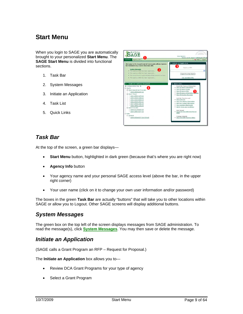# <span id="page-8-0"></span>**Start Menu**

When you login to SAGE you are automatically brought to your personalized **Start Menu**. The **SAGE Start Menu** is divided into functional sections.

- 1. Task Bar
- 2. System Messages
- 3. Initiate an Application
- 4. Task List
- 5. Quick Links



### *Task Bar*

At the top of the screen, a green bar displays—

- **Start Menu** button, highlighted in dark green (because that's where you are right now)
- **Agency Info** button
- Your agency name and your personal SAGE access level (above the bar, in the upper right corner)
- Your user name (click on it to change your own user information and/or password)

The boxes in the green **Task Bar** are actually "buttons" that will take you to other locations within SAGE or allow you to Logout. Other SAGE screens will display additional buttons.

### *System Messages*

The green box on the top left of the screen displays messages from SAGE administration. To read the message(s), click **System Messages**. You may then save or delete the message.

### *Initiate an Application*

(SAGE calls a Grant Program an RFP – Request for Proposal.)

The **Initiate an Application** box allows you to—

- Review DCA Grant Programs for your type of agency
- Select a Grant Program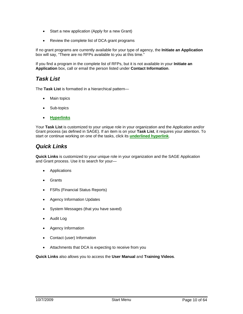- <span id="page-9-0"></span>• Start a new application (Apply for a new Grant)
- Review the complete list of DCA grant programs

If no grant programs are currently available for your type of agency, the **Initiate an Application** box will say, "There are no RFPs available to you at this time."

If you find a program in the complete list of RFPs, but it is not available in your **Initiate an Application** box, call or email the person listed under **Contact Information**.

### *Task List*

The **Task List** is formatted in a hierarchical pattern—

- Main topics
- Sub-topics
- **Hyperlinks**

Your **Task List** is customized to your unique role in your organization and the Application and/or Grant process (as defined in SAGE). If an item is on your **Task List**, it requires your attention. To start or continue working on one of the tasks, click its **underlined hyperlink**.

### *Quick Links*

**Quick Links** is customized to your unique role in your organization and the SAGE Application and Grant process. Use it to search for your—

- Applications
- Grants
- FSRs (Financial Status Reports)
- Agency Information Updates
- System Messages (that you have saved)
- Audit Log
- Agency Information
- Contact (user) Information
- Attachments that DCA is expecting to receive from you

**Quick Links** also allows you to access the **User Manual** and **Training Videos**.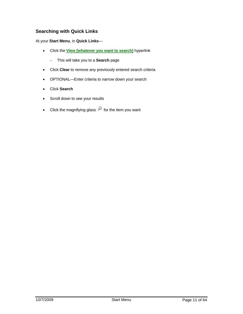### **Searching with Quick Links**

At your **Start Menu**, in **Quick Links**—

- Click the **View [whatever you want to search]** hyperlink
	- − This will take you to a **Search** page
- Click **Clear** to remove any previously entered search criteria
- OPTIONAL—Enter criteria to narrow down your search
- Click **Search**
- Scroll down to see your results
- Click the magnifying glass  $\mathcal P$  for the item you want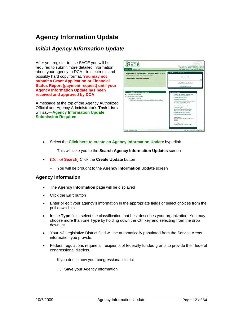# <span id="page-11-0"></span>**Agency Information Update**

### *Initial Agency Information Update*

After you register to use SAGE you will be required to submit more detailed information about your agency to DCA—in electronic and possibly hard copy format. **You may not submit a Grant Application or Financial Status Report (payment request) until your Agency Information Update has been received and approved by DCA**.

A message at the top of the Agency Authorized Official and Agency Administrator's **Task Lists** will say—**Agency Information Update Submission Required**.



- Select the **Click here to create an Agency Information Update** hyperlink
	- − This will take you to the **Search Agency Information Updates** screen
- (Do *not* **Search**) Click the **Create Update** button
	- − You will be brought to the **Agency Information Update** screen

#### **Agency Information**

- The **Agency Information** page will be displayed
- Click the **Edit** button
- Enter or edit your agency's information in the appropriate fields or select choices from the pull down lists
- In the **Type** field, select the classification that best describes your organization. You may choose more than one **Type** by holding down the Ctrl key and selecting from the drop down list.
- Your NJ Legislative District field will be automatically populated from the Service Areas information you provide.
- Federal regulations require all recipients of federally funded grants to provide their federal congressional districts.
	- If you don't know your congressional district
		- … **Save** your Agency Information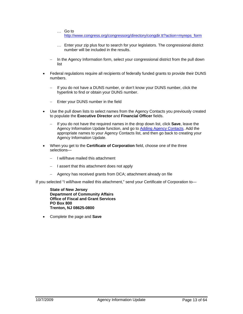… Go to

[http://www.congress.org/congressorg/directory/congdir.tt?action=myreps\\_form](http://www.congress.org/congressorg/directory/congdir.tt?action=myreps_form) 

- … Enter your zip plus four to search for your legislators. The congressional district number will be included in the results.
- − In the Agency Information form, select your congressional district from the pull down list
- Federal regulations require all recipients of federally funded grants to provide their DUNS numbers.
	- If you do not have a DUNS number, or don't know your DUNS number, click the hyperlink to find or obtain your DUNS number.
	- − Enter your DUNS number in the field
- Use the pull down lists to select names from the Agency Contacts you previously created to populate the **Executive Director** and **Financial Officer** fields.
	- − If you do not have the required names in the drop down list, click **Save**, leave the Agency Information Update function, and go to [Adding Agency Contacts](#page-20-0). Add the appropriate names to your Agency Contacts list, and then go back to creating your Agency Information Update.
- When you get to the **Certificate of Corporation** field, choose one of the three selections—
	- − I will/have mailed this attachment
	- − I assert that this attachment does not apply
	- − Agency has received grants from DCA; attachment already on file

If you selected "I will/have mailed this attachment," send your Certificate of Corporation to—

**State of New Jersey Department of Community Affairs Office of Fiscal and Grant Services PO Box 800 Trenton, NJ 08625-0800** 

• Complete the page and **Save**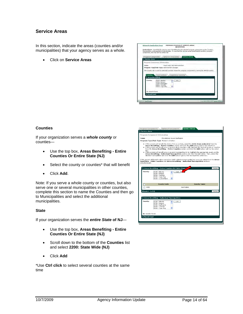#### **Service Areas**

In this section, indicate the areas (counties and/or municipalities) that your agency serves as a whole.

• Click on **Service Areas** 

|                         | component; click the Service Areas Ltb.                                                               |
|-------------------------|-------------------------------------------------------------------------------------------------------|
| Service Area            | <b>Program Components   Optional Components   Service Areas</b>                                       |
|                         | Program Component Information                                                                         |
| <b>Name</b>             | Mount Holly UEZ Administration<br>Program Type/Sub-Type Administrative Budget                         |
|                         | The County tab is used to view/add counties where this program component is serving the WHOLE county. |
| <b>Arras Benefiting</b> | <b>Boundary A. Montcipalities C. Legislative Districts</b>                                            |
| County:                 | and<br>010D: Atlantic<br>0200: Bergen.<br>0300: Burlington<br>0400: Camden<br><b>USDO: Cape May</b>   |
| No records lound        |                                                                                                       |
|                         | <b>No Records Found</b>                                                                               |

#### **Counties**

If your organization serves a *whole county* or counties—

- Use the top box, **Areas Benefiting Entire Counties Or Entire State (NJ)**
- Select the county or counties\* that will benefit
- Click **Add**.

Note: If you serve a whole county or counties, but also serve one or several municipalities in other counties, complete this section to name the Counties and then go to Municipalities and select the additional municipalities.

#### **State**

If your organization serves the *entire State* **of NJ**—

- Use the top box, **Areas Benefiting Entire Counties Or Entire State (NJ)**
- Scroll down to the bottom of the **Counties** list and select **2200: State Wide (NJ)**
- Click **Add**

\*Use **Ctrl click** to select several counties at the same time

|                         | Program Component Information                                                                                                                                                                                                                                                                                                                                                                                                                                                                                                                                                                                                                                                                                                                                                                                                                                                                                                                     |            |                    |        |
|-------------------------|---------------------------------------------------------------------------------------------------------------------------------------------------------------------------------------------------------------------------------------------------------------------------------------------------------------------------------------------------------------------------------------------------------------------------------------------------------------------------------------------------------------------------------------------------------------------------------------------------------------------------------------------------------------------------------------------------------------------------------------------------------------------------------------------------------------------------------------------------------------------------------------------------------------------------------------------------|------------|--------------------|--------|
| Name                    | Providence House-Burlington                                                                                                                                                                                                                                                                                                                                                                                                                                                                                                                                                                                                                                                                                                                                                                                                                                                                                                                       |            |                    |        |
|                         | Program Type/Sub-Type Women's Shelters                                                                                                                                                                                                                                                                                                                                                                                                                                                                                                                                                                                                                                                                                                                                                                                                                                                                                                            |            |                    |        |
| hnv.<br>simultaneously. | . If this project will benefit the State of NJ as a whole, select the 2200: State-wide (NJ) from the<br>Areas Benefiting - Entire Counties section and click the Add button right by the select box.<br>. If this project will benefit one or several whole counties in NJ, highlight the desired county or counties<br>from the Areas Benefiting - Entire Counties section and click the Add button right by the select<br>. If this project will benefit one or several municipalities in NJ, highlight the appropriate county on the<br>Areas Benefiting - Individual Municipalities section and click the List button. Then, select the<br>desired municipalities and click the Add button right by the municipalities select box.<br>If the project will benefit entire county(ies) AND individual municipality(ies) you may select from the Areas<br>Benefiting - Entire Counties and Areas Benefiting - Individual Municipalities sections |            |                    |        |
|                         | Areas Benefiting - Entire Counties Or Entire State /                                                                                                                                                                                                                                                                                                                                                                                                                                                                                                                                                                                                                                                                                                                                                                                                                                                                                              |            |                    | Delete |
| County:                 | 0100: Atlantic<br>0200: Bergen<br>0400: Camden<br>0500: Cape May<br>0600: Cumberland                                                                                                                                                                                                                                                                                                                                                                                                                                                                                                                                                                                                                                                                                                                                                                                                                                                              | Add        |                    |        |
|                         | <b>County Code</b>                                                                                                                                                                                                                                                                                                                                                                                                                                                                                                                                                                                                                                                                                                                                                                                                                                                                                                                                |            | <b>County Name</b> |        |
| 0300                    |                                                                                                                                                                                                                                                                                                                                                                                                                                                                                                                                                                                                                                                                                                                                                                                                                                                                                                                                                   | Burlington |                    |        |
| [Records 1 - 1 of 1]    |                                                                                                                                                                                                                                                                                                                                                                                                                                                                                                                                                                                                                                                                                                                                                                                                                                                                                                                                                   |            |                    | Delete |
|                         |                                                                                                                                                                                                                                                                                                                                                                                                                                                                                                                                                                                                                                                                                                                                                                                                                                                                                                                                                   |            |                    |        |
|                         |                                                                                                                                                                                                                                                                                                                                                                                                                                                                                                                                                                                                                                                                                                                                                                                                                                                                                                                                                   |            |                    |        |
|                         | Areas Benefiting - Individual Municipalities ﴿                                                                                                                                                                                                                                                                                                                                                                                                                                                                                                                                                                                                                                                                                                                                                                                                                                                                                                    |            |                    |        |
| County:                 | 0100: Atlantic<br>0200: Bergen<br>0300: Burlington<br>0400: Camden<br>0500: Cape May                                                                                                                                                                                                                                                                                                                                                                                                                                                                                                                                                                                                                                                                                                                                                                                                                                                              | List       |                    |        |
| No records found        |                                                                                                                                                                                                                                                                                                                                                                                                                                                                                                                                                                                                                                                                                                                                                                                                                                                                                                                                                   |            |                    |        |
|                         |                                                                                                                                                                                                                                                                                                                                                                                                                                                                                                                                                                                                                                                                                                                                                                                                                                                                                                                                                   |            |                    |        |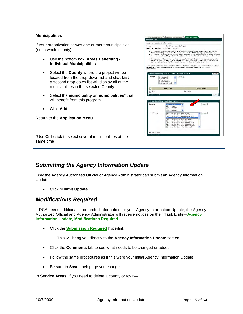#### **Municipalities**

If your organization serves one or more municipalities (not a whole county) $-$ 

- Use the bottom box, **Areas Benefiting Individual Municipalities**
- Select the **County** where the project will be located from the drop-down list and click **List** − a second drop-down list will display all of the municipalities in the selected County
- Select the **municipality** or **municipalities**\* that will benefit from this program
- Click **Add**.

Return to the **Application Menu** 

|                         | Program Component Information                                                                                                                                                    |                                                                                                                                                                                                                                                                                                                                                                                                                                                                                                                                                                                                                                                                                                                                                                                                                                                        |
|-------------------------|----------------------------------------------------------------------------------------------------------------------------------------------------------------------------------|--------------------------------------------------------------------------------------------------------------------------------------------------------------------------------------------------------------------------------------------------------------------------------------------------------------------------------------------------------------------------------------------------------------------------------------------------------------------------------------------------------------------------------------------------------------------------------------------------------------------------------------------------------------------------------------------------------------------------------------------------------------------------------------------------------------------------------------------------------|
| Name                    | Providence House-Burlington                                                                                                                                                      |                                                                                                                                                                                                                                                                                                                                                                                                                                                                                                                                                                                                                                                                                                                                                                                                                                                        |
|                         | Program Type/Sub-Type Women's Shelters                                                                                                                                           |                                                                                                                                                                                                                                                                                                                                                                                                                                                                                                                                                                                                                                                                                                                                                                                                                                                        |
| box.<br>simultaneously. | desired municipalities and click the Add button right by the municipalities select box.                                                                                          | . If this project will benefit the State of NJ as a whole, select the 2200; State-wide (NJ) from the<br>Areas Benefiting - Entire Counties section and click the Add button right by the select box.<br>. If this project will benefit one or several whole counties in NJ, highlight the desired county or counties<br>from the Areas Benefiting - Entire Counties section and click the Add button right by the select<br>. If this project will benefit one or several municipalities in NJ, highlight the appropriate county on the<br>Areas Benefiting - Individual Municipalities section and click the List button. Then, select the<br>If the project will benefit entire county(ies) AND individual municipality(ies) you may select from the Areas<br>Benefiting - Entire Counties and Areas Benefiting - Individual Municipalities sections |
|                         | Areas Benefiting - Entire Counties Or Entire State (NJ)                                                                                                                          | Dalata                                                                                                                                                                                                                                                                                                                                                                                                                                                                                                                                                                                                                                                                                                                                                                                                                                                 |
| County:                 | <b>Add</b><br>0100: Atlantic<br>0200: Bergen<br>0400: Camden<br>0500: Cape May<br>0600: Cumberland                                                                               |                                                                                                                                                                                                                                                                                                                                                                                                                                                                                                                                                                                                                                                                                                                                                                                                                                                        |
|                         | <b>County Code</b>                                                                                                                                                               | <b>County Name</b>                                                                                                                                                                                                                                                                                                                                                                                                                                                                                                                                                                                                                                                                                                                                                                                                                                     |
| 0300                    |                                                                                                                                                                                  | Burlington                                                                                                                                                                                                                                                                                                                                                                                                                                                                                                                                                                                                                                                                                                                                                                                                                                             |
| [Records 1 - 1 of 1]    |                                                                                                                                                                                  | Delete                                                                                                                                                                                                                                                                                                                                                                                                                                                                                                                                                                                                                                                                                                                                                                                                                                                 |
|                         |                                                                                                                                                                                  |                                                                                                                                                                                                                                                                                                                                                                                                                                                                                                                                                                                                                                                                                                                                                                                                                                                        |
|                         | <b>Areas Benefiting - Individual Municipalities</b>                                                                                                                              |                                                                                                                                                                                                                                                                                                                                                                                                                                                                                                                                                                                                                                                                                                                                                                                                                                                        |
| County:                 | 0100: Atlantic<br>0200: Bergen<br>0300: Burlington<br>0400: Camden<br>0500: Cape May                                                                                             | List                                                                                                                                                                                                                                                                                                                                                                                                                                                                                                                                                                                                                                                                                                                                                                                                                                                   |
| <b>Municipality:</b>    | 0100; Atlantic - 0102; Atlantic City<br>0100: Atlantic - 0104: Borough of Buena<br>0100: Atlantic - 0110: Borough of Folsom<br>0100: Atlantic - 0115: Borough of Longoo          | Add                                                                                                                                                                                                                                                                                                                                                                                                                                                                                                                                                                                                                                                                                                                                                                                                                                                    |
|                         | 0100: Atlantic - 0101: City of Absecon<br>0100: Atlantic - 0103: City of Brigantine                                                                                              |                                                                                                                                                                                                                                                                                                                                                                                                                                                                                                                                                                                                                                                                                                                                                                                                                                                        |
|                         | 0100: Atlantic - 0106: City of Corbin City<br>0100: Atlantic - 0107: City of Egg Harbor<br>0100: Atlantic - 0109: City of Estell Manor<br>0100: Atlantic - 0114: City of Linwood |                                                                                                                                                                                                                                                                                                                                                                                                                                                                                                                                                                                                                                                                                                                                                                                                                                                        |

\*Use **Ctrl click** to select several municipalities at the same time

### *Submitting the Agency Information Update*

Only the Agency Authorized Official or Agency Administrator can submit an Agency Information Update.

• Click **Submit Update**.

### *Modifications Required*

If DCA needs additional or corrected information for your Agency Information Update, the Agency Authorized Official and Agency Administrator will receive notices on their **Task Lists**—**Agency Information Update, Modifications Required**.

- Click the **Submission Required** hyperlink
	- − This will bring you directly to the **Agency Information Update** screen
- Click the **Comments** tab to see what needs to be changed or added
- Follow the same procedures as if this were your initial Agency Information Update
- Be sure to **Save** each page you change

In **Service Areas**, if you need to delete a county or town—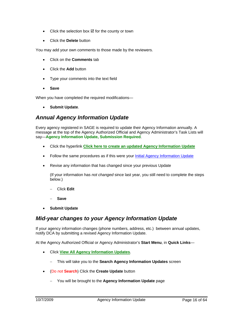- <span id="page-15-0"></span>• Click the selection box  $\boxtimes$  for the county or town
- Click the **Delete** button

You may add your own comments to those made by the reviewers.

- Click on the **Comments** tab
- Click the **Add** button
- Type your comments into the text field
- **Save**

When you have completed the required modifications—

• **Submit Update**.

### *Annual Agency Information Update*

Every agency registered in SAGE is required to update their Agency Information annually. A message at the top of the Agency Authorized Official and Agency Administrator's Task Lists will say—**Agency Information Update, Submission Required**.

- Click the hyperlink **Click here to create an updated Agency Information Update**
- Follow the same procedures as if this were your [Initial Agency Information Update](#page-11-0)
- Revise any information that has changed since your previous Update

(If your information has *not changed* since last year, you still need to complete the steps below.)

- − Click **Edit**
- − **Save**
- **Submit Update**

### *Mid-year changes to your Agency Information Update*

If your agency information changes (phone numbers, address, etc.) between annual updates, notify DCA by submitting a revised Agency Information Update.

At the Agency Authorized Official or Agency Administrator's **Start Menu**, in **Quick Links**—

- Click **View All Agency Information Updates**.
	- − This will take you to the **Search Agency Information Updates** screen
- (Do *not* **Search**) Click the **Create Update** button
	- − You will be brought to the **Agency Information Update** page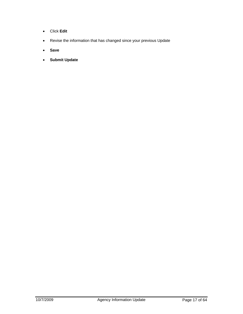- Click **Edit**
- Revise the information that has changed since your previous Update
- **Save**
- **Submit Update**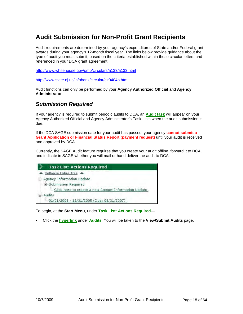# **Audit Submission for Non-Profit Grant Recipients**

Audit requirements are determined by your agency's expenditures of State and/or Federal grant awards during your agency's 12-month fiscal year. The links below provide guidance about the type of audit you must submit, based on the criteria established within these circular letters and referenced in your DCA grant agreement.

<http://www.whitehouse.gov/omb/circulars/a133/a133.html>

<http://www.state.nj.us/infobank/circular/cir0404b.htm>

Audit functions can only be performed by your **Agency Authorized Official** and **Agency Administrator**.

### *Submission Required*

If your agency is required to submit periodic audits to DCA, an **Audit task** will appear on your Agency Authorized Official and Agency Administrator's Task Lists when the audit submission is due.

If the DCA SAGE submission date for your audit has passed, your agency **cannot submit a Grant Application or Financial Status Report (payment request)** until your audit is received and approved by DCA.

Currently, the SAGE Audit feature requires that you create your audit offline, forward it to DCA, and indicate in SAGE whether you will mail or hand deliver the audit to DCA.

| <b>Task List: Actions Required</b>                       |
|----------------------------------------------------------|
| Collapse Entire Tree                                     |
| 白-Agency Information Update                              |
| 白-Submission Required                                    |
| i. Click here to create a new Agency Information Update. |
| - Audits                                                 |
| $-01/01/2005 - 12/31/2005$ (Due: 08/31/2007)             |

To begin, at the **Start Menu**, under **Task List: Actions Required**―

• Click the **hyperlink** under **Audits**. You will be taken to the **View/Submit Audits** page.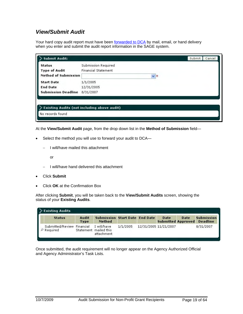### *View/Submit Audit*

Your hard copy audit report must have been [forwarded to DCA](#page-19-0) by mail, email, or hand delivery when you enter and submit the audit report information in the SAGE system.

| $\sim$ $\times$ |                                                    |
|-----------------|----------------------------------------------------|
|                 |                                                    |
|                 |                                                    |
|                 |                                                    |
|                 |                                                    |
|                 | <b>Existing Audits (not including above audit)</b> |

At the **View/Submit Audit** page, from the drop down list in the **Method of Submission** field—

- Select the method you will use to forward your audit to DCA―
	- − I will/have mailed this attachment

or

- − I will/have hand delivered this attachment
- Click **Submit**
- Click **OK** at the Confirmation Box

After clicking **Submit**, you will be taken back to the **View/Submit Audits** screen, showing the status of your **Existing Audits**.

| <b>Existing Audits</b>                             |                      |                                                 |          |                       |                                            |             |                   |
|----------------------------------------------------|----------------------|-------------------------------------------------|----------|-----------------------|--------------------------------------------|-------------|-------------------|
| <b>Status</b>                                      | Audit<br><b>Type</b> | <b>Submission Start Date End Date</b><br>Method |          |                       | Date<br><b>Submitted Approved Deadline</b> | <b>Date</b> | <b>Submission</b> |
| Submitted/Review Financial I will/have<br>Required |                      | Statement mailed this<br>attachment             | 1/1/2005 | 12/31/2005 11/21/2007 |                                            |             | 8/31/2007         |

Once submitted, the audit requirement will no longer appear on the Agency Authorized Official and Agency Administrator's Task Lists.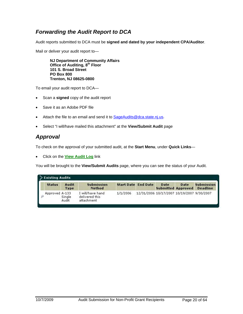### <span id="page-19-0"></span>*Forwarding the Audit Report to DCA*

Audit reports submitted to DCA must be **signed and dated by your independent CPA/Auditor**.

Mail or deliver your audit report to—

**NJ Department of Community Affairs Office of Auditing, 8th Floor 101 S. Broad Street PO Box 800 Trenton, NJ 08625-0800** 

To email your audit report to DCA—

- Scan a **signed** copy of the audit report
- Save it as an Adobe PDF file
- Attach the file to an email and send it to **[SageAudits@dca.state.nj.us.](mailto:SageAudits@dca.state.nj.us)**
- Select "I will/have mailed this attachment" at the **View/Submit Audit** page

### *Approval*

To check on the approval of your submitted audit, at the **Start Menu**, under **Quick Links**—

• Click on the **View Audit Log** link

You will be brought to the **View/Submit Audits** page, where you can see the status of your Audit.

| Existing Audits |                 |                                                  |                            |                                            |             |             |                                                  |
|-----------------|-----------------|--------------------------------------------------|----------------------------|--------------------------------------------|-------------|-------------|--------------------------------------------------|
| <b>Status</b>   | Audit<br>Type   | <b>Submission</b><br>Method                      | <b>Start Date End Date</b> |                                            | <b>Date</b> | <b>Date</b> | Submission<br><b>Submitted Approved Deadline</b> |
| Approved A-133  | Single<br>Audit | I will/have hand<br>delivered this<br>attachment | 1/1/2006                   | 12/31/2006 10/17/2007 10/19/2007 9/30/2007 |             |             |                                                  |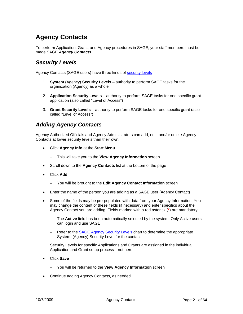# <span id="page-20-0"></span>**Agency Contacts**

To perform Application, Grant, and Agency procedures in SAGE, your staff members must be made SAGE *Agency Contacts*.

### *Security Levels*

Agency Contacts (SAGE users) have three kinds of security levels-

- 1. **System** (Agency) **Security Levels** authority to perform SAGE tasks for the organization (Agency) as a whole
- 2. **Application Security Levels** authority to perform SAGE tasks for one specific grant application (also called "Level of Access")
- 3. **Grant Security Levels** authority to perform SAGE tasks for one specific grant (also called "Level of Access")

### *Adding Agency Contacts*

Agency Authorized Officials and Agency Administrators can add, edit, and/or delete Agency Contacts at lower security levels than their own.

- Click **Agency Info** at the **Start Menu**
	- − This will take you to the **View Agency Information** screen
- Scroll down to the **Agency Contacts** list at the bottom of the page
- Click **Add**
	- − You will be brought to the **Edit Agency Contact Information** screen
- Enter the name of the person you are adding as a SAGE user (Agency Contact)
- Some of the fields may be pre-populated with data from your Agency Information. You may change the content of these fields (if necessary) and enter specifics about the Agency Contact you are adding. Fields marked with a red asterisk (**\***) are mandatory
	- The **Active** field has been automatically selected by the system. Only Active users can login and use SAGE
	- Refer to the [SAGE Agency Security Levels](#page-57-0) chart to determine the appropriate System (Agency) Security Level for the contact

Security Levels for specific Applications and Grants are assigned in the individual Application and Grant setup process—not here

- Click **Save**
	- − You will be returned to the **View Agency Information** screen
- Continue adding Agency Contacts, as needed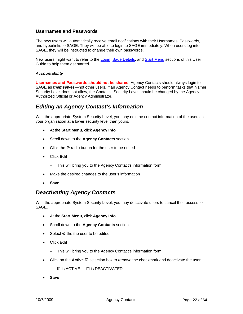#### **Usernames and Passwords**

The new users will automatically receive email notifications with their Usernames, Passwords, and hyperlinks to SAGE. They will be able to login to SAGE immediately. When users log into SAGE, they will be instructed to change their own passwords.

New users might want to refer to the [Login,](#page-3-0) [Sage Details](#page-4-0), and [Start Menu](#page-8-0) sections of this User Guide to help them get started.

#### *Accountability*

**Usernames and Passwords should not be shared**. Agency Contacts should always login to SAGE as *themselves*—not other users. If an Agency Contact needs to perform tasks that his/her Security Level does not allow, the Contact's Security Level should be changed by the Agency Authorized Official or Agency Administrator.

### *Editing an Agency Contact's Information*

With the appropriate System Security Level, you may edit the contact information of the users in your organization at a lower security level than yours.

- At the **Start Menu**, click **Agency Info**
- Scroll down to the **Agency Contacts** section
- Click the  $\odot$  radio button for the user to be edited
- Click **Edit**
	- − This will bring you to the Agency Contact's information form
- Make the desired changes to the user's information
- **Save**

### *Deactivating Agency Contacts*

With the appropriate System Security Level, you may deactivate users to cancel their access to SAGE.

- At the **Start Menu**, click **Agency Info**
- Scroll down to the **Agency Contacts** section
- Select  $\odot$  the the user to be edited
- Click **Edit**
	- This will bring you to the Agency Contact's information form
- Click on the **Active**  $\boxtimes$  selection box to *remove* the checkmark and deactivate the user
	- − ; is ACTIVE is DEACTIVATED
- **Save**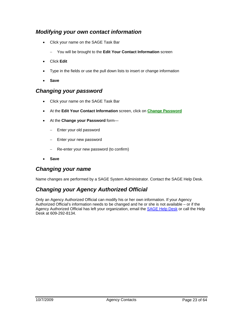### *Modifying your own contact information*

- Click your name on the SAGE Task Bar
	- − You will be brought to the **Edit Your Contact Information** screen
- Click **Edit**
- Type in the fields or use the pull down lists to insert or change information
- **Save**

### *Changing your password*

- Click your name on the SAGE Task Bar
- At the **Edit Your Contact Information** screen, click on **Change Password**
- At the **Change your Password** form—
	- − Enter your old password
	- − Enter your new password
	- − Re-enter your new password (to confirm)
- **Save**

### *Changing your name*

Name changes are performed by a SAGE System Administrator. Contact the SAGE Help Desk.

### *Changing your Agency Authorized Official*

Only an Agency Authorized Official can modify his or her own information. If your Agency Authorized Official's information needs to be changed and he or she is not available – or if the Agency Authorized Official has left your organization, email the **[SAGE Help Desk](mailto:helpdesk@dca.state.nj.us) or call the Help** Desk at 609-292-8134.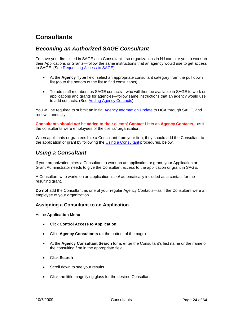## <span id="page-23-0"></span>**Consultants**

### *Becoming an Authorized SAGE Consultant*

To have your firm listed in SAGE as a Consultant—so organizations in NJ can hire you to work on their Applications or Grants—follow the same instructions that an agency would use to get access to SAGE. (See [Requesting Access to SAGE\)](#page-6-0)

- At the **Agency Type** field, select an appropriate consultant category from the pull down list (go to the bottom of the list to find consultants).
- To add staff members as SAGE contacts—who will then be available in SAGE to work on applications and grants for agencies—follow same instructions that an agency would use to add contacts. (See [Adding Agency Contacts\)](#page-20-0)

You will be required to submit an initial [Agency Information Update](#page-11-0) to DCA through SAGE, and renew it annually.

**Consultants should** *not* **be added to their clients' Contact Lists as Agency Contacts**—as if the consultants were employees of the clients' organization.

When applicants or grantees hire a Consultant from your firm, they should add the Consultant to the application or grant by following the Using a Consultant procedures, below.

### *Using a Consultant*

If your organization hires a Consultant to work on an application or grant, your Application or Grant Administrator needs to give the Consultant *access* to the application or grant in SAGE.

A Consultant who works on an application is *not* automatically included as a contact for the resulting grant.

**Do not** add the Consultant as one of your regular Agency Contacts—as if the Consultant were an employee of your organization.

#### **Assigning a Consultant to an Application**

At the **Application Menu**—

- Click **Control Access to Application**
- Click **Agency Consultants** (at the bottom of the page)
- At the **Agency Consultant Search** form, enter the Consultant's last name or the name of the consulting firm in the appropriate field
- Click **Search**
- Scroll down to see your results
- Click the little magnifying glass for the desired Consultant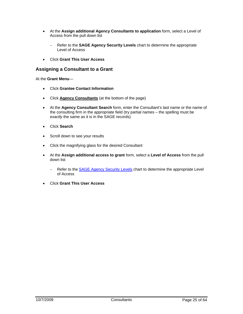- At the **Assign additional Agency Consultants to application** form, select a Level of Access from the pull down list
	- − Refer to the **SAGE Agency Security Levels** chart to determine the appropriate Level of Access
- Click **Grant This User Access**

#### **Assigning a Consultant to a Grant**

At the **Grant Menu**—

- Click **Grantee Contact Information**
- Click **Agency Consultants** (at the bottom of the page)
- At the **Agency Consultant Search** form, enter the Consultant's last name or the name of the consulting firm in the appropriate field (try partial names – the spelling must be *exactly* the same as it is in the SAGE records)
- Click **Search**
- Scroll down to see your results
- Click the magnifying glass for the desired Consultant
- At the **Assign additional access to grant** form, select a **Level of Access** from the pull down list
	- − Refer to the [SAGE Agency Security Levels](#page-57-0) chart to determine the appropriate Level of Access
- Click **Grant This User Access**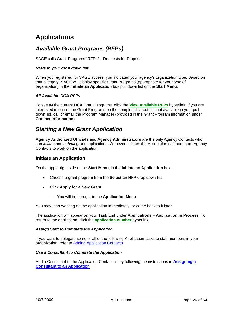# **Applications**

### *Available Grant Programs (RFPs)*

SAGE calls Grant Programs "RFPs" – Requests for Proposal.

#### *RFPs in your drop down list*

When you registered for SAGE access, you indicated your agency's organization type. Based on that category, SAGE will display specific Grant Programs (appropriate for your type of organization) in the **Initiate an Application** box pull down list on the **Start Menu**.

#### *All Available DCA RFPs*

To see *all* the current DCA Grant Programs, click the **View Available RFPs** hyperlink. If you are interested in one of the Grant Programs on the complete list, but it is not available in your pull down list, call or email the Program Manager (provided in the Grant Program information under **Contact Information**).

### *Starting a New Grant Application*

**Agency Authorized Officials** and **Agency Administrators** are the only Agency Contacts who can *initiate* and *submit* grant applications. Whoever initiates the Application can add more Agency Contacts to work on the application.

#### **Initiate an Application**

On the upper right side of the **Start Menu**, in the **Initiate an Application** box—

- Choose a grant program from the **Select an RFP** drop down list
- Click **Apply for a New Grant**
	- − You will be brought to the **Application Menu**

You may start working on the application immediately, or come back to it later.

The application will appear on your **Task List** under **Applications** – **Application in Process**. To return to the application, click the **application number** hyperlink.

#### *Assign Staff to Complete the Application*

If you want to delegate some or all of the following Application tasks to staff members in your organization, refer to [Adding Application Contacts.](#page-26-0)

#### *Use a Consultant to Complete the Application*

Add a Consultant to the Application Contact list by following the instructions in **[Assigning a](#page-23-0)  [Consultant to an Application](#page-23-0)**.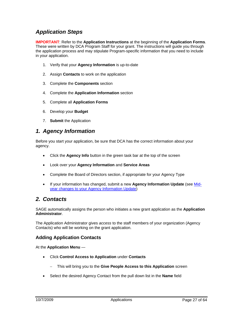### <span id="page-26-0"></span>*Application Steps*

**IMPORTANT**: Refer to the **Application Instructions** at the beginning of the **Application Forms**. These were written by DCA Program Staff for your grant. The instructions will guide you through the application process and may stipulate Program-specific information that you need to include in your application.

- 1. Verify that your **Agency Information** is up-to-date
- 2. Assign **Contacts** to work on the application
- 3. Complete the **Components** section
- 4. Complete the **Application Information** section
- 5. Complete all **Application Forms**
- 6. Develop your **Budget**
- 7. **Submit** the Application

### *1. Agency Information*

Before you start your application, be sure that DCA has the correct information about your agency.

- Click the **Agency Info** button in the green task bar at the top of the screen
- Look over your **Agency Information** and **Service Areas**
- Complete the Board of Directors section, if appropriate for your Agency Type
- If your information has changed, submit a new **Agency Information Update** (see [Mid](#page-15-0)[year changes to your Agency Information Update](#page-15-0))

### *2. Contacts*

SAGE automatically assigns the person who initiates a new grant application as the **Application Administrator**.

The Application Administrator gives *access* to the staff members of your organization (Agency Contacts) who will be working on the grant application.

#### **Adding Application Contacts**

#### At the **Application Menu** —

- Click **Control Access to Application** under **Contacts**
	- − This will bring you to the **Give People Access to this Application** screen
- Select the desired Agency Contact from the pull down list in the **Name** field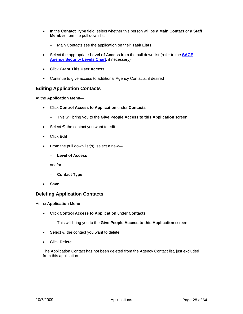- In the **Contact Type** field, select whether this person will be a **Main Contact** or a **Staff Member** from the pull down list
	- − Main Contacts see the application on their **Task Lists**
- Select the appropriate **Level of Access** from the pull down list (refer to the **[SAGE](#page-57-0)  [Agency Security Levels Chart](#page-57-0)**, if necessary)
- Click **Grant This User Access**
- Continue to give access to additional Agency Contacts, if desired

#### **Editing Application Contacts**

#### At the **Application Menu**—

- Click **Control Access to Application** under **Contacts**
	- − This will bring you to the **Give People Access to this Application** screen
- Select  $\odot$  the contact you want to edit
- Click **Edit**
- From the pull down list(s), select a new—
	- − **Level of Access**

and/or

- − **Contact Type**
- **Save**

#### **Deleting Application Contacts**

At the **Application Menu**—

- Click **Control Access to Application** under **Contacts**
	- − This will bring you to the **Give People Access to this Application** screen
- Select  $\odot$  the contact you want to delete
- Click **Delete**

The Application Contact has not been deleted from the Agency Contact list, just excluded from this application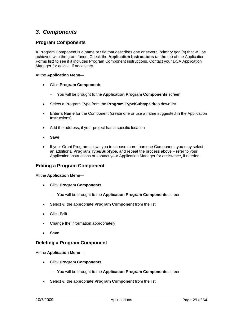### <span id="page-28-0"></span>*3. Components*

### **Program Components**

A Program Component is a name or title that describes one or several primary goal(s) that will be achieved with the grant funds. Check the **Application Instructions** (at the top of the Application Forms list) to see if it includes Program Component instructions. Contact your DCA Application Manager for advice, if necessary.

At the **Application Menu**—

- Click **Program Components**
	- − You will be brought to the **Application Program Components** screen
- Select a Program Type from the **Program Type/Subtype** drop down list
- Enter a **Name** for the Component (create one or use a name suggested in the Application Instructions)
- Add the address, if your project has a specific location
- **Save**
- If your Grant Program allows you to choose more than one Component, you may select an additional **Program Type/Subtype**, and repeat the process above – refer to your Application Instructions or contact your Application Manager for assistance, if needed.

#### **Editing a Program Component**

#### At the **Application Menu**—

- Click **Program Components**
	- − You will be brought to the **Application Program Components** screen
- Select  $\odot$  the appropriate **Program Component** from the list
- Click **Edit**
- Change the information appropriately
- **Save**

#### **Deleting a Program Component**

#### At the **Application Menu**—

- Click **Program Components**
	- − You will be brought to the **Application Program Components** screen
- Select  $\odot$  the appropriate **Program Component** from the list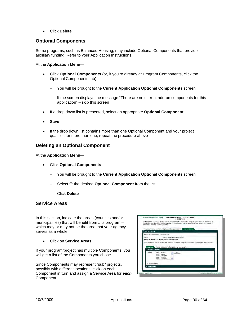• Click **Delete**

#### **Optional Components**

Some programs, such as Balanced Housing, may include Optional Components that provide auxiliary funding. Refer to your Application Instructions.

#### At the **Application Menu**—

- Click **Optional Components** (or, if you're already at Program Components, click the Optional Components tab)
	- − You will be brought to the **Current Application Optional Components** screen
	- − If the screen displays the message "There are no current add-on components for this application" – skip this screen
- If a drop down list is presented, select an appropriate **Optional Component**
- **Save**
- If the drop down list contains more than one Optional Component and your project qualifies for more than one, repeat the procedure above

#### **Deleting an Optional Component**

#### At the **Application Menu**—

- Click **Optional Components**
	- − You will be brought to the **Current Application Optional Components** screen
	- − Select ⊙ the desired **Optional Component** from the list
	- − Click **Delete**

#### **Service Areas**

In this section, indicate the areas (counties and/or municipalities) that will benefit from *this* program – which may or may not be the area that your agency serves as a whole.

• Click on **Service Areas** 

If your program/project has multiple Components, you will get a list of the Components you chose.

Since Components may represent "sub" projects, possibly with different locations, click on each Component in turn and assign a Service Area for *each* Component.

|                                    | Program Components \ Optional Components \ Service Areas                                                                                             |
|------------------------------------|------------------------------------------------------------------------------------------------------------------------------------------------------|
| Service Area                       |                                                                                                                                                      |
|                                    | Program Component Information                                                                                                                        |
| Name                               | Mount Holly UEZ Administration                                                                                                                       |
|                                    | Program Type/Sub-Type Administrative Budget<br>The County tab is used to view/add counties where this program component is serving the WHOLE county. |
| <b>Areas Benefiting</b><br>County: | ast.<br>0100: Atlantic<br>0200: Bergen.<br>0300: Burlington<br>0400: Camden<br><b>GSCC: Cape May</b>                                                 |
|                                    |                                                                                                                                                      |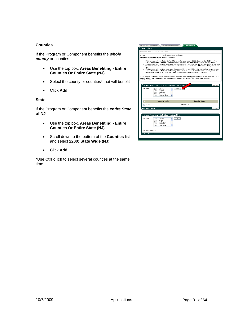#### **Counties**

If the Program or Component benefits the *whole county* or counties—

- Use the top box, **Areas Benefiting Entire Counties Or Entire State (NJ)**
- Select the county or counties\* that will benefit
- Click **Add**.

#### **State**

If the Program or Component benefits the *entire State* **of NJ**—

- Use the top box, **Areas Benefiting Entire Counties Or Entire State (NJ)**
- Scroll down to the bottom of the **Counties** list and select **2200: State Wide (NJ)**
- Click **Add**

\*Use **Ctrl click** to select several counties at the same time

|                         | Program Component Information                                                        |                                                                                                                                                                                                                                                                                                                                                                                                                                                                                                                                                                                                                                                                                                                                                                                                                                                                                                                                              |
|-------------------------|--------------------------------------------------------------------------------------|----------------------------------------------------------------------------------------------------------------------------------------------------------------------------------------------------------------------------------------------------------------------------------------------------------------------------------------------------------------------------------------------------------------------------------------------------------------------------------------------------------------------------------------------------------------------------------------------------------------------------------------------------------------------------------------------------------------------------------------------------------------------------------------------------------------------------------------------------------------------------------------------------------------------------------------------|
| <b>Name</b>             | Providence House-Burlington                                                          |                                                                                                                                                                                                                                                                                                                                                                                                                                                                                                                                                                                                                                                                                                                                                                                                                                                                                                                                              |
|                         | Program Type/Sub-Type Women's Shelters                                               |                                                                                                                                                                                                                                                                                                                                                                                                                                                                                                                                                                                                                                                                                                                                                                                                                                                                                                                                              |
| hox.<br>simultaneously. |                                                                                      | This project will benefit the State of NJ as a whole, select the 2200; State-wide (NJ) from the<br>Areas Benefiting - Entire Counties section and click the Add button right by the select box.<br>. If this project will benefit one or several whole counties in NJ, highlight the desired county or counties<br>from the Areas Benefiting - Entire Counties section and click the Add button right by the select<br>. If this project will benefit one or several municipalities in NJ, highlight the appropriate county on the<br>Areas Benefiting - Individual Municipalities section and click the List button. Then, select the<br>desired municipalities and click the Add button right by the municipalities select box.<br>If the project will benefit entire county(ies) AND individual municipality(ies) you may select from the Areas<br>Benefiting - Entire Counties and Areas Benefiting - Individual Municipalities sections |
|                         | Areas Benefiting - Entire Counties Or Entire State                                   | Delete                                                                                                                                                                                                                                                                                                                                                                                                                                                                                                                                                                                                                                                                                                                                                                                                                                                                                                                                       |
| County:                 | 0100: Atlantic<br>0200: Bergen<br>0400: Camden<br>0500: Cape May<br>0600: Cumberland | Add                                                                                                                                                                                                                                                                                                                                                                                                                                                                                                                                                                                                                                                                                                                                                                                                                                                                                                                                          |
|                         | <b>County Code</b>                                                                   | <b>County Name</b>                                                                                                                                                                                                                                                                                                                                                                                                                                                                                                                                                                                                                                                                                                                                                                                                                                                                                                                           |
|                         |                                                                                      | Burlington                                                                                                                                                                                                                                                                                                                                                                                                                                                                                                                                                                                                                                                                                                                                                                                                                                                                                                                                   |
| 0300                    |                                                                                      |                                                                                                                                                                                                                                                                                                                                                                                                                                                                                                                                                                                                                                                                                                                                                                                                                                                                                                                                              |
| [Records 1 - 1 of 1]    |                                                                                      | Delete                                                                                                                                                                                                                                                                                                                                                                                                                                                                                                                                                                                                                                                                                                                                                                                                                                                                                                                                       |
|                         |                                                                                      |                                                                                                                                                                                                                                                                                                                                                                                                                                                                                                                                                                                                                                                                                                                                                                                                                                                                                                                                              |
|                         | Areas Benefiting - Individual Municipalities                                         |                                                                                                                                                                                                                                                                                                                                                                                                                                                                                                                                                                                                                                                                                                                                                                                                                                                                                                                                              |
| County:                 | 0100: Atlantic<br>0200: Bergen<br>0300: Burlington<br>0400: Camden<br>0500: Cape May | List                                                                                                                                                                                                                                                                                                                                                                                                                                                                                                                                                                                                                                                                                                                                                                                                                                                                                                                                         |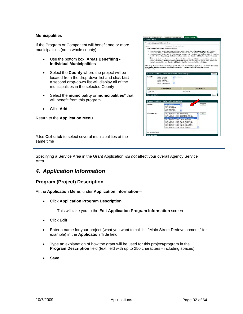#### **Municipalities**

If the Program or Component will benefit one or more municipalities (not a whole county)-

- Use the bottom box, **Areas Benefiting Individual Municipalities**
- Select the **County** where the project will be located from the drop-down list and click **List** − a second drop-down list will display all of the municipalities in the selected County
- Select the **municipality** or **municipalities**\* that will benefit from this program
- Click **Add**.

Return to the **Application Menu** 

|                         | Program Component Information                                                        |                   |                                                                                                                                                                                                                                                                                                                                                                                                                                                                                                                                                                                                                                                                                                                                                                                                                                                                                                                                                          |        |
|-------------------------|--------------------------------------------------------------------------------------|-------------------|----------------------------------------------------------------------------------------------------------------------------------------------------------------------------------------------------------------------------------------------------------------------------------------------------------------------------------------------------------------------------------------------------------------------------------------------------------------------------------------------------------------------------------------------------------------------------------------------------------------------------------------------------------------------------------------------------------------------------------------------------------------------------------------------------------------------------------------------------------------------------------------------------------------------------------------------------------|--------|
| Name                    | Providence House-Burlington                                                          |                   |                                                                                                                                                                                                                                                                                                                                                                                                                                                                                                                                                                                                                                                                                                                                                                                                                                                                                                                                                          |        |
|                         | Program Type/Sub-Type Women's Shelters                                               |                   |                                                                                                                                                                                                                                                                                                                                                                                                                                                                                                                                                                                                                                                                                                                                                                                                                                                                                                                                                          |        |
| box.<br>simultaneously. |                                                                                      |                   | . If this project will benefit the State of NJ as a whole, select the 2200; State-wide (NJ) from the<br>Areas Benefiting - Entire Counties section and click the Add button right by the select box.<br>Fig. 1. If this project will benefit one or several whole counties in NJ, highlight the desired county or counties<br>from the Areas Benefiting - Entire Counties section and click the Add button right by the select<br>. If this project will benefit one or several municipalities in NJ, highlight the appropriate county on the<br>Areas Benefiting - Individual Municipalities section and click the List button. Then, select the<br>desired municipalities and click the Add button right by the municipalities select box.<br>If the project will benefit entire county(ies) AND individual municipality(ies) you may select from the Areas'<br>Benefiting - Entire Counties and Areas Benefiting - Individual Municipalities sections |        |
|                         | Areas Benefiting - Entire Counties Or Entire State (NJ)                              |                   |                                                                                                                                                                                                                                                                                                                                                                                                                                                                                                                                                                                                                                                                                                                                                                                                                                                                                                                                                          | Delete |
| County:                 | 0100: Atlantic<br>0200; Bergen<br>0400: Camden<br>0500: Cape May<br>0600: Cumberland | <i><b>Add</b></i> |                                                                                                                                                                                                                                                                                                                                                                                                                                                                                                                                                                                                                                                                                                                                                                                                                                                                                                                                                          |        |
|                         | <b>County Code</b>                                                                   |                   | <b>County Name</b>                                                                                                                                                                                                                                                                                                                                                                                                                                                                                                                                                                                                                                                                                                                                                                                                                                                                                                                                       |        |
|                         |                                                                                      |                   |                                                                                                                                                                                                                                                                                                                                                                                                                                                                                                                                                                                                                                                                                                                                                                                                                                                                                                                                                          |        |
| 0300                    |                                                                                      | Burlington        |                                                                                                                                                                                                                                                                                                                                                                                                                                                                                                                                                                                                                                                                                                                                                                                                                                                                                                                                                          |        |
| [Records 1 - 1 of 1]    |                                                                                      |                   |                                                                                                                                                                                                                                                                                                                                                                                                                                                                                                                                                                                                                                                                                                                                                                                                                                                                                                                                                          | Delete |
|                         |                                                                                      |                   |                                                                                                                                                                                                                                                                                                                                                                                                                                                                                                                                                                                                                                                                                                                                                                                                                                                                                                                                                          |        |
|                         | <b>Areas Denefiting - Individual Municipalities</b>                                  |                   |                                                                                                                                                                                                                                                                                                                                                                                                                                                                                                                                                                                                                                                                                                                                                                                                                                                                                                                                                          |        |
| County:                 | 0100; Atlantic<br>0200: Bergen<br>0300: Burlington<br>0400; Camden<br>0500: Cape May |                   | List                                                                                                                                                                                                                                                                                                                                                                                                                                                                                                                                                                                                                                                                                                                                                                                                                                                                                                                                                     |        |

\*Use **Ctrl click** to select several municipalities at the same time

Specifying a Service Area in the Grant Application *will not* affect your overall Agency Service Area.

### *4. Application Information*

#### **Program (Project) Description**

At the **Application Menu**, under **Application Information**—

- Click **Application Program Description**
	- − This will take you to the **Edit Application Program Information** screen
- Click **Edit**
- Enter a name for your project (what you want to call it "Main Street Redevelopment," for example) in the **Application Title** field
- Type an explanation of how the grant will be used for this project/program in the **Program Description** field (text field with up to 250 characters - including spaces)
- **Save**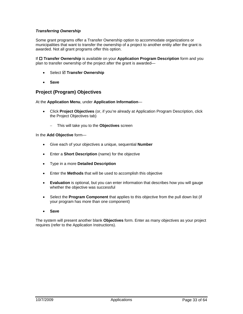#### *Transferring Ownership*

Some grant programs offer a Transfer Ownership option to accommodate organizations or municipalities that want to transfer the ownership of a project to another entity after the grant is awarded. Not all grant programs offer this option.

If **Transfer Ownership** is available on your **Application Program Description** form and you plan to transfer ownership of the project after the grant is awarded—

- **Select**  $\textcolor{red}{\text{ }}\,\blacksquare$  **Transfer Ownership**
- **Save**

#### **Project (Program) Objectives**

At the **Application Menu**, under **Application Information**—

- Click **Project Objectives** (or, if you're already at Application Program Description, click the Project Objectives tab)
	- − This will take you to the **Objectives** screen

#### In the **Add Objective** form—

- Give each of your objectives a unique, sequential **Number**
- Enter a **Short Description** (name) for the objective
- Type in a more **Detailed Description**
- Enter the **Methods** that will be used to accomplish this objective
- **Evaluation** is optional, but you can enter information that describes how you will gauge whether the objective was successful
- Select the **Program Component** that applies to this objective from the pull down list (if your program has more than one component)
- **Save**

The system will present another blank **Objectives** form. Enter as many objectives as your project requires (refer to the Application Instructions).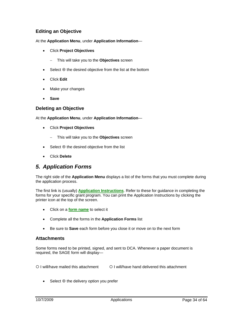### **Editing an Objective**

At the **Application Menu**, under **Application Information**—

- Click **Project Objectives**
	- − This will take you to the **Objectives** screen
- Select  $\odot$  the desired objective from the list at the bottom
- Click **Edit**
- Make your changes
- **Save**

#### **Deleting an Objective**

At the **Application Menu**, under **Application Information**—

- Click **Project Objectives**
	- − This will take you to the **Objectives** screen
- Select  $\odot$  the desired objective from the list
- Click **Delete**

### *5. Application Forms*

The right side of the **Application Menu** displays a list of the forms that you must complete during the application process.

The first link is (usually) **Application Instructions**. Refer to these for guidance in completing the forms for your specific grant program. You can print the Application Instructions by clicking the printer icon at the top of the screen.

- Click on a **form name** to select it
- Complete all the forms in the **Application Forms** list
- Be sure to **Save** each form before you close it or move on to the next form

#### **Attachments**

Some forms need to be printed, signed, and sent to DCA. Whenever a paper document is required, the SAGE form will display—

{ I will/have mailed this attachment { I will/have hand delivered this attachment

 $\bullet$  Select  $\odot$  the delivery option you prefer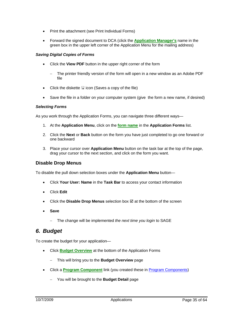- Print the attachment (see [Print Individual Forms](#page-38-0))
- Forward the signed document to DCA (click the **Application Manager's** name in the green box in the upper left corner of the Application Menu for the mailing address)

#### *Saving Digital Copies of Forms*

- Click the **View PDF** button in the upper right corner of the form
	- The printer friendly version of the form will open in a new window as an Adobe PDF file
- Click the diskette  $\Box$  icon (Saves a copy of the file)
- Save the file in a folder on your computer system (give the form a new name, if desired)

#### *Selecting Forms*

As you work through the Application Forms, you can navigate three different ways—

- 1. At the **Application Menu**, click on the **form name** in the **Application Forms** list.
- 2. Click the **Next** or **Back** button on the form you have just completed to go one forward or one backward
- 3. Place your cursor over **Application Menu** button on the task bar at the top of the page, drag your cursor to the next section, and click on the form you want.

#### **Disable Drop Menus**

To disable the pull down selection boxes under the **Application Menu** button—

- Click **Your User: Name** in the **Task Bar** to access your contact information
- Click **Edit**
- Click the **Disable Drop Menus** selection box  $\boxtimes$  at the bottom of the screen
- **Save** 
	- − The change will be implemented *the next time you login* to SAGE

### *6. Budget*

To create the budget for your application—

- Click **Budget Overview** at the bottom of the Application Forms
	- − This will bring you to the **Budget Overview** page
- Click a **Program Component** link (you created these in [Program Components\)](#page-28-0)
	- − You will be brought to the **Budget Detail** page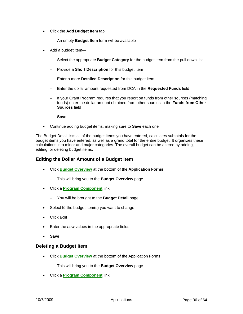- Click the **Add Budget Item** tab
	- − An empty **Budget Item** form will be available
- Add a budget item—
	- − Select the appropriate **Budget Category** for the budget item from the pull down list
	- − Provide a **Short Description** for this budget item
	- − Enter a more **Detailed Description** for this budget item
	- − Enter the dollar amount requested from DCA in the **Requested Funds** field
	- If your Grant Program requires that you report on funds from other sources (matching funds) enter the dollar amount obtained from other sources in the **Funds from Other Sources** field
	- − **Save**
- Continue adding budget items, making sure to **Save** each one

The Budget Detail lists all of the budget items you have entered, calculates subtotals for the budget items you have entered, as well as a grand total for the entire budget. It organizes these calculations into minor and major categories. The overall budget can be altered by adding, editing, or deleting budget items.

#### **Editing the Dollar Amount of a Budget Item**

- Click **Budget Overview** at the bottom of the **Application Forms**
	- − This will bring you to the **Budget Overview** page
- Click a **Program Component** link
	- − You will be brought to the **Budget Detail** page
- Select  $\boxtimes$  the budget item(s) you want to change
- Click **Edit**
- Enter the *new* values in the appropriate fields
- **Save**

#### **Deleting a Budget Item**

- Click **Budget Overview** at the bottom of the Application Forms
	- − This will bring you to the **Budget Overview** page
- Click a **Program Component** link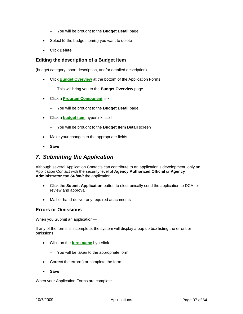- − You will be brought to the **Budget Detail** page
- Select  $\boxtimes$  the budget item(s) you want to delete
- Click **Delete**

#### **Editing the description of a Budget Item**

(budget category, short description, and/or detailed description)

- Click **Budget Overview** at the bottom of the Application Forms
	- − This will bring you to the **Budget Overview** page
- Click a **Program Component** link
	- − You will be brought to the **Budget Detail** page
- Click a **budget item** hyperlink itself
	- − You will be brought to the **Budget Item Detail** screen
- Make your changes to the appropriate fields.
- **Save**

### *7. Submitting the Application*

Although several Application Contacts can contribute to an application's development, only an Application Contact with the security level of **Agency Authorized Official** or **Agency Administrator** can *Submit* the application.

- Click the **Submit Application** button to electronically send the application to DCA for review and approval
- Mail or hand-deliver any required attachments

#### **Errors or Omissions**

When you Submit an application—

If any of the forms is incomplete, the system will display a pop up box listing the errors or omissions.

- Click on the **form name** hyperlink
	- − You will be taken to the appropriate form
- Correct the error(s) or complete the form
- **Save**

When your Application Forms are complete—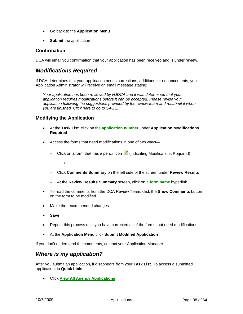- Go back to the **Application Menu**
- **Submit** the application

#### **Confirmation**

DCA will email you confirmation that your application has been received and is under review.

### *Modifications Required*

If DCA determines that your application needs corrections, additions, or enhancements, your Application Administrator will receive an email message stating:

*Your application has been reviewed by NJDCA and it was determined that your application requires modifications before it can be accepted. Please revise your application following the suggestions provided by the review team and resubmit it when you are finished. Click here to go to SAGE.* 

#### **Modifying the Application**

- At the **Task List**, click on the **application number** under **Application Modifications Required**
- Access the forms that need modifications in one of two ways—
	- − Click on a form that has a pencil icon (indicating Modifications Required)

or

- − Click **Comments Summary** on the left side of the screen under **Review Results**
- − At the **Review Results Summary** screen, click on a **form name** hyperlink
- To read the comments from the DCA Review Team, click the **Show Comments** button on the form to be modified.
- Make the recommended changes
- **Save**
- Repeat this process until you have corrected all of the forms that need modifications
- At the **Application Menu** click **Submit Modified Application**

If you don't understand the comments, contact your Application Manager.

### *Where is my application?*

After you submit an application, it disappears from your **Task List**. To access a submitted application, in **Quick Links**—

• Click **View All Agency Applications**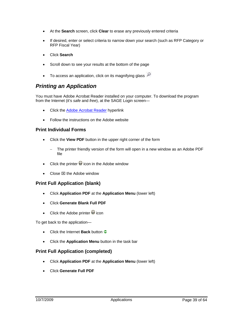- <span id="page-38-0"></span>• At the **Search** screen, click **Clear** to erase any previously entered criteria
- If desired, enter or select criteria to narrow down your search (such as RFP Category or RFP Fiscal Year)
- Click **Search**
- Scroll down to see your results at the bottom of the page
- To access an application, click on its magnifying glass  $\mathbb{R}^2$

### *Printing an Application*

You must have Adobe Acrobat Reader installed on your computer. To download the program from the Internet (it's *safe* and *free*), at the SAGE Login screen—

- Click the **Adobe Acrobat Reader** hyperlink
- Follow the instructions on the Adobe website

#### **Print Individual Forms**

- Click the **View PDF** button in the upper right corner of the form
	- − The printer friendly version of the form will open in a new window as an Adobe PDF file
- Click the printer  $\bigcirc$  icon in the Adobe window
- Close  $\boxtimes$  the Adobe window

#### **Print Full Application (blank)**

- Click **Application PDF** at the **Application Menu** (lower left)
- Click **Generate Blank Full PDF**
- Click the Adobe printer  $\bigcirc$  icon

To get back to the application—

- Click the Internet **Back** button  $C$
- Click the **Application Menu** button in the task bar

#### **Print Full Application (completed)**

- Click **Application PDF** at the **Application Menu** (lower left)
- Click **Generate Full PDF**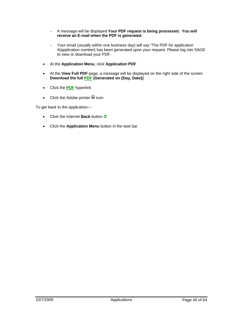- − A message will be displayed **Your PDF request is being processed. You will receive an E-mail when the PDF is generated**.
- − Your email (usually within one business day) will say "The PDF for application #{application number} has been generated upon your request. Please log into SAGE to view or download your PDF.
- At the **Application Menu**, click **Application PDF**
- At the **View Full PDF** page, a message will be displayed on the right side of the screen **Download the full PDF (Generated on {Day, Date})**
- Click the **PDF** hyperlink
- Click the Adobe printer  $\bigcirc$  icon

To get back to the application—

- Click the Internet **Back** button  $C$
- Click the **Application Menu** button in the task bar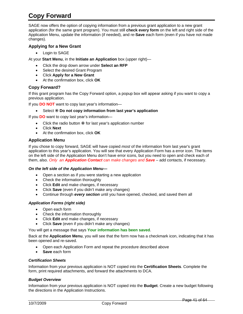# **Copy Forward**

SAGE now offers the option of copying information from a previous grant application to a new grant application (for the same grant program). You must still **check every form** on the left and right side of the Application Menu, update the information (if needed), and re-**Save** each form (even if you have not made changes).

#### **Applying for a New Grant**

• Login to SAGE

At your **Start Menu**, in the **Initiate an Application** box (upper right)—

- Click the drop down arrow under **Select an RFP**
- Select the desired Grant Program
- Click **Apply for a New Grant**
- At the confirmation box, click **OK**

#### **Copy Forward?**

If this grant program has the Copy Forward option, a popup box will appear asking if you want to copy a previous application.

If you **DO NOT** want to copy last year's information—

#### Select  $\odot$  Do not copy information from last year's application

If you **DO** want to copy last year's information—

- Click the radio button  $\odot$  for last year's application number
- Click **Next**
- At the confirmation box, click **OK**

#### **Application Menu**

If you chose to copy forward, SAGE will have copied *most* of the information from last year's grant application to this year's application. You will see that every Application Form has a error icon. The items on the left side of the Application Menu don't have error icons, but you need to open and check each of them, also. *Only an Application Contact can make changes and Save* – add contacts, if necessary.

#### *On the left side of the Application Menu—*

- Open a section as if you were starting a new application
- Check the information thoroughly
- Click **Edit** and make changes, if necessary
- Click **Save** (even if you didn't make any changes)
- Continue through *every section* until you have opened, checked, and saved them all

#### *Application Forms (right side)*

- Open each form
- Check the information thoroughly
- Click **Edit** and make changes, if necessary
- Click **Save** (even if you didn't make any changes)

You will get a message that says **Your information has been saved**.

Back at the **Application Menu**, you will see that the form now has a checkmark icon, indicating that it has been opened and re-saved.

- Open each Application Form and repeat the procedure described above
- **Save** each form

#### *Certification Sheets*

Information from your previous application is NOT copied into the **Certification Sheets**. Complete the form, print required attachments, and forward the attachments to DCA.

#### *Budget Overview*

Information from your previous application is NOT copied into the **Budget**. Create a new budget following the directions in the Application Instructions.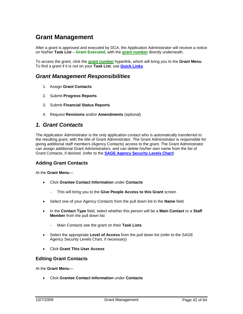# **Grant Management**

After a grant is approved and executed by DCA, the Application Administrator will receive a notice on his/her **Task List** – **Grant Executed**, with the **grant number** directly underneath.

To access the grant, click the **grant number** hyperlink, which will bring you to the **Grant Menu**. To find a grant if it is *not* on your **Task List**, use **[Quick Links](#page-9-0)**.

### *Grant Management Responsibilities*

- 1. Assign **Grant Contacts**
- 2. Submit **Progress Reports**
- 3. Submit **Financial Status Reports**
- 4. Request **Revisions** and/or **Amendments** (optional)

### *1. Grant Contacts*

The Application Administrator is the only application contact who is automatically transferred to the resulting grant, with the title of Grant Administrator. The Grant Administrator is responsible for giving additional staff members (Agency Contacts) access to the grant. The Grant Administrator can assign additional Grant Administrators, and can delete his/her own name from the list of Grant Contacts, if desired. (refer to the **[SAGE Agency Security Levels Chart](#page-57-0)**)

#### **Adding Grant Contacts**

At the **Grant Menu**—

- Click **Grantee Contact Information** under **Contacts**
	- − This will bring you to the **Give People Access to this Grant** screen
- Select one of your Agency Contacts from the pull down list in the **Name** field
- In the **Contact Type** field, select whether this person will be a **Main Contact** or a **Staff Member** from the pull down list
	- − Main Contacts see the grant on their **Task Lists**
- Select the appropriate **Level of Access** from the pull down list (refer to the SAGE Agency Security Levels Chart, if necessary)
- Click **Grant This User Access**

#### **Editing Grant Contacts**

At the **Grant Menu**—

• Click **Grantee Contact Information** under **Contacts**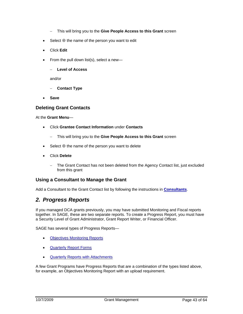- − This will bring you to the **Give People Access to this Grant** screen
- Select  $\odot$  the name of the person you want to edit
- Click **Edit**
- From the pull down list(s), select a new-
	- − **Level of Access**

and/or

- − **Contact Type**
- **Save**

#### **Deleting Grant Contacts**

At the **Grant Menu**—

- Click **Grantee Contact Information** under **Contacts**
	- − This will bring you to the **Give People Access to this Grant** screen
- Select  $\odot$  the name of the person you want to delete
- Click **Delete**
	- − The Grant Contact has not been deleted from the Agency Contact list, just excluded from this grant

#### **Using a Consultant to Manage the Grant**

Add a Consultant to the Grant Contact list by following the instructions in **[Consultants](#page-23-0)**.

### *2. Progress Reports*

If you managed DCA grants previously, you may have submitted Monitoring and Fiscal reports together. In SAGE, these are two separate reports. To create a Progress Report, you must have a Security Level of Grant Administrator, Grant Report Writer, or Financial Officer.

SAGE has several types of Progress Reports—

- [Objectives Monitoring Reports](#page-43-0)
- **[Quarterly Report Forms](#page-43-0)**
- [Quarterly Reports with Attachments](#page-44-0)

A few Grant Programs have Progress Reports that are a combination of the types listed above, for example, an Objectives Monitoring Report with an upload requirement.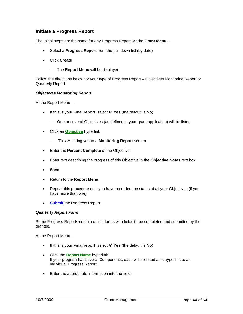#### <span id="page-43-0"></span>**Initiate a Progress Report**

The initial steps are the same for any Progress Report. At the **Grant Menu**—

- Select a **Progress Report** from the pull down list (by date)
- Click **Create**
	- − The **Report Menu** will be displayed

Follow the directions below for your type of Progress Report – Objectives Monitoring Report or Quarterly Report.

#### *Objectives Monitoring Report*

At the Report Menu-

- If this is your **Final report**, select  $\odot$  **Yes** (the default is **No**)
	- − One or several Objectives (as defined in your grant application) will be listed
- Click an **Objective** hyperlink
	- − This will bring you to a **Monitoring Report** screen
- Enter the **Percent Complete** of the Objective
- Enter text describing the progress of this Objective in the **Objective Notes** text box
- **Save**
- Return to the **Report Menu**
- Repeat this procedure until you have recorded the status of all your Objectives (if you have more than one)
- **[Submit](#page-44-1)** the Progress Report

#### *Quarterly Report Form*

Some Progress Reports contain online forms with fields to be completed and submitted by the grantee.

At the Report Menu-

- If this is your **Final report**, select  $\odot$  **Yes** (the default is **No**)
- Click the **Report Name** hyperlink If your program has several Components, each will be listed as a hyperlink to an individual Progress Report.
- Enter the appropriate information into the fields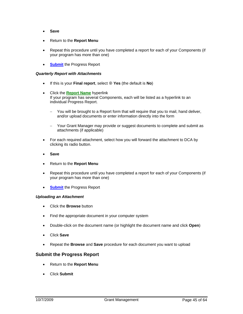- <span id="page-44-1"></span><span id="page-44-0"></span>• **Save**
- Return to the **Report Menu**
- Repeat this procedure until you have completed a report for each of your Components (if your program has more than one)
- **Submit** the Progress Report

#### *Quarterly Report with Attachments*

- $\bullet$  If this is your **Final report**, select  $\odot$  **Yes** (the default is **No**)
- Click the **Report Name** hyperlink If your program has several Components, each will be listed as a hyperlink to an individual Progress Report.
	- − You will be brought to a Report form that will require that you to mail, hand deliver, and/or upload documents or enter information directly into the form
	- − Your Grant Manager may provide or suggest documents to complete and submit as attachments (if applicable)
- For each required attachment, select how you will forward the attachment to DCA by clicking its radio button.
- **Save**
- Return to the **Report Menu**
- Repeat this procedure until you have completed a report for each of your Components (if your program has more than one)
- **Submit** the Progress Report

#### *Uploading an Attachment*

- Click the **Browse** button
- Find the appropriate document in your computer system
- Double-click on the document name (or highlight the document name and click **Open**)
- Click **Save**
- Repeat the **Browse** and **Save** procedure for each document you want to upload

#### **Submit the Progress Report**

- Return to the **Report Menu**
- Click **Submit**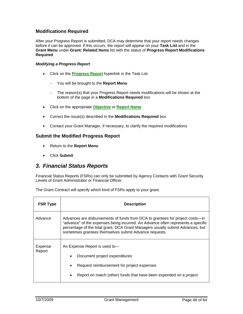#### **Modifications Required**

After your Progress Report is submitted, DCA may determine that your report needs changes before it can be approved. If this occurs, the report will appear on your **Task List** and in the **Grant Menu** under **Grant: Related Items** list with the status of **Progress Report Modifications Required**.

#### *Modifying a Progress Report*

- Click on the **Progress Report** hyperlink in the Task List
	- − You will be brought to the **Report Menu**
	- − The reason(s) that your Progress Report needs modifications will be shown at the bottom of the page in a **Modifications Required** box
- Click on the appropriate **Objective** or **Report Name**
- Correct the issue(s) described in the **Modifications Required** box
- Contact your Grant Manager, if necessary, to clarify the required modifications

#### **Submit the Modified Progress Report**

- Return to the **Report Menu**
- Click **Submit**

### *3. Financial Status Reports*

Financial Status Reports (FSRs) can only be submitted by Agency Contacts with Grant Security Levels of Grant Administrator or Financial Officer.

| <b>FSR Type</b>   | <b>Description</b>                                                                                                                                                                                                                                                                                            |
|-------------------|---------------------------------------------------------------------------------------------------------------------------------------------------------------------------------------------------------------------------------------------------------------------------------------------------------------|
| Advance           | Advances are disbursements of funds from DCA to grantees for project costs—in<br>"advance" of the expenses being incurred. An Advance often represents a specific<br>percentage of the total grant. DCA Grant Managers usually submit Advances, but<br>sometimes grantees themselves submit Advance requests. |
| Expense<br>Report | An Expense Report is used to-<br>Document project expenditures<br>Request reimbursement for project expenses<br>Report on match (other) funds that have been expended on a project<br>$\bullet$                                                                                                               |

The Grant Contract will specify which kind of FSRs apply to your grant.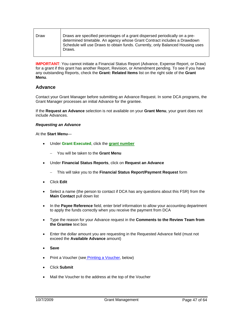| Draw | Draws are specified percentages of a grant dispersed periodically on a pre-<br>determined timetable. An agency whose Grant Contract includes a Drawdown<br>Schedule will use Draws to obtain funds. Currently, only Balanced Housing uses<br>Draws. |
|------|-----------------------------------------------------------------------------------------------------------------------------------------------------------------------------------------------------------------------------------------------------|
|      |                                                                                                                                                                                                                                                     |

**IMPORTANT**: You cannot initiate a Financial Status Report (Advance, Expense Report, or Draw) for a grant if this grant has another Report, Revision, or Amendment pending. To see if you have any outstanding Reports, check the **Grant: Related Items** list on the right side of the **Grant Menu**.

#### **Advance**

Contact your Grant Manager before submitting an Advance Request. In some DCA programs, the Grant Manager processes an initial Advance for the grantee.

If the **Request an Advance** selection is not available on your **Grant Menu**, your grant does not include Advances.

#### *Requesting an Advance*

#### At the **Start Menu**—

- Under **Grant Executed**, click the **grant number**
	- − You will be taken to the **Grant Menu**
- Under **Financial Status Reports**, click on **Request an Advance**
	- − This will take you to the **Financial Status Report/Payment Request** form
- Click **Edit**
- Select a name (the person to contact if DCA has any questions about this FSR) from the **Main Contact** pull down list
- In the **Payee Reference** field, enter brief information to allow your accounting department to apply the funds correctly when you receive the payment from DCA
- Type the reason for your Advance request in the **Comments to the Review Team from the Grantee** text box
- Enter the dollar amount you are requesting in the Requested Advance field (must not exceed the **Available Advance** amount)
- **Save**
- Print a Voucher (see [Printing a Voucher](#page-49-0), below)
- Click **Submit**
- Mail the Voucher to the address at the top of the Voucher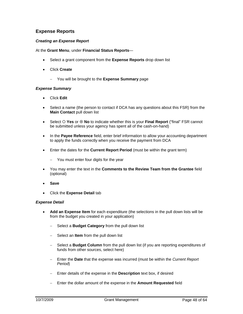### **Expense Reports**

#### *Creating an Expense Report*

At the **Grant Menu**, under **Financial Status Reports**—

- Select a grant component from the **Expense Reports** drop down list
- Click **Create**
	- − You will be brought to the **Expense Summary** page

#### *Expense Summary*

- Click **Edit**
- Select a name (the person to contact if DCA has any questions about this FSR) from the **Main Contact** pull down list
- Select  $\circ$  **Yes** or  $\circ$  **No** to indicate whether this is your **Final Report** ("final" FSR cannot be submitted unless your agency has spent all of the cash-on-hand)
- In the **Payee Reference** field, enter brief information to allow your accounting department to apply the funds correctly when you receive the payment from DCA
- Enter the dates for the **Current Report Period** (must be within the grant term)
	- − You must enter four digits for the year
- You may enter the text in the **Comments to the Review Team from the Grantee** field (optional)
- **Save**
- Click the **Expense Detail** tab

#### *Expense Detail*

- **Add an Expense Item** for each expenditure (the selections in the pull down lists will be from the budget you created in your application)
	- − Select a **Budget Category** from the pull down list
	- − Select an **Item** from the pull down list
	- − Select a **Budget Column** from the pull down list (if you are reporting expenditures of funds from other sources, select here)
	- − Enter the **Date** that the expense was incurred (must be within the *Current Report Period*)
	- − Enter details of the expense in the **Description** text box, if desired
	- − Enter the dollar amount of the expense in the **Amount Requested** field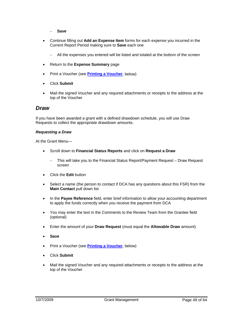- − **Save**
- Continue filling out **Add an Expense Item** forms for each expense you incurred in the Current Report Period making sure to **Save** each one
	- All the expenses you entered will be listed and totaled at the bottom of the screen
- Return to the **Expense Summary** page
- Print a Voucher (see **[Printing a Voucher](#page-49-0)**, below)
- Click **Submit**
- Mail the signed Voucher and any required attachments or receipts to the address at the top of the Voucher

### *Draw*

If you have been awarded a grant with a defined drawdown schedule, you will use Draw Requests to collect the appropriate drawdown amounts.

#### *Requesting a Draw*

At the Grant Menu—

- Scroll down to **Financial Status Reports** and click on **Request a Draw**
	- − This will take you to the Financial Status Report/Payment Request Draw Request screen
- Click the **Edit** button
- Select a name (the person to contact if DCA has any questions about this FSR) from the **Main Contact** pull down list
- In the **Payee Reference** field, enter brief information to allow your accounting department to apply the funds correctly when you receive the payment from DCA
- You may enter the text in the Comments to the Review Team from the Grantee field (optional)
- Enter the amount of your **Draw Request** (must equal the **Allowable Draw** amount)
- **Save**
- Print a Voucher (see **[Printing a Voucher](#page-49-0)**, below)
- Click **Submit**
- Mail the signed Voucher and any required attachments or receipts to the address at the top of the Voucher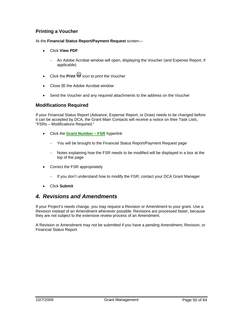### <span id="page-49-0"></span>**Printing a Voucher**

#### At the **Financial Status Report/Payment Request** screen—

- Click **View PDF**
	- − An Adobe Acrobat window will open, displaying the Voucher (and Expense Report, if applicable)
- Click the **Print** icon to print the Voucher
- Close  $\boxtimes$  the Adobe Acrobat window
- Send the Voucher and any required attachments to the address on the Voucher

#### **Modifications Required**

If your Financial Status Report (Advance, Expense Report, or Draw) needs to be changed before it can be accepted by DCA, the Grant Main Contacts will receive a notice on their Task Lists, "FSRs – Modifications Required."

- Click the **Grant Number FSR** hyperlink
	- − You will be brought to the Financial Status Report/Payment Request page
	- Notes explaining how the FSR needs to be modified will be displayed in a box at the top of the page
- Correct the FSR appropriately
	- − If you don't understand how to modify the FSR, contact your DCA Grant Manager
- Click **Submit**

### *4. Revisions and Amendments*

If your Project's needs change, you may request a Revision or Amendment to your grant. Use a Revision instead of an Amendment whenever possible. Revisions are processed faster, because they are not subject to the extensive review process of an Amendment.

A Revision or Amendment may not be submitted if you have a pending Amendment, Revision, or Financial Status Report.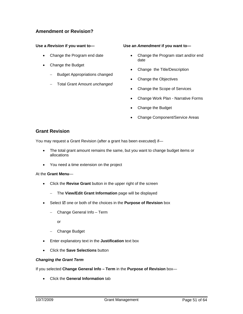### **Amendment or Revision?**

#### **Use a** *Revision* **if you want to—**

- Change the Program end date
- Change the Budget
	- − Budget Appropriations changed
	- − Total Grant Amount *unchanged*

#### **Use an** *Amendment* **if you want to—**

- Change the Program start and/or end date
- Change the Title/Description
- Change the Objectives
- Change the Scope of Services
- Change Work Plan Narrative Forms
- Change the Budget
- Change Component/Service Areas

#### **Grant Revision**

You may request a Grant Revision (after a grant has been executed) if—

- The total grant amount remains the same, but you want to change budget items or allocations
- You need a time extension on the project

#### At the **Grant Menu**—

- Click the **Revise Grant** button in the upper right of the screen
	- − The **View/Edit Grant Information** page will be displayed
- Select  $\boxtimes$  one or both of the choices in the **Purpose of Revision** box
	- − Change General Info Term

or

- − Change Budget
- Enter explanatory text in the **Justification** text box
- Click the **Save Selections** button

#### *Changing the Grant Term*

If you selected **Change General Info – Term** in the **Purpose of Revision** box—

• Click the **General Information** tab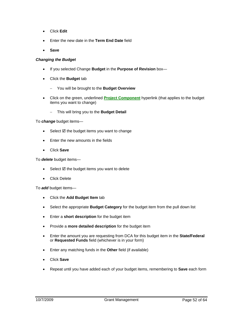- Click **Edit**
- Enter the new date in the **Term End Date** field
- **Save**

#### *Changing the Budget*

- If you selected Change **Budget** in the **Purpose of Revision** box—
- Click the **Budget** tab
	- − You will be brought to the **Budget Overview**
- Click on the green, underlined **Project Component** hyperlink (that applies to the budget items you want to change)
	- − This will bring you to the **Budget Detail**

#### To *change* budget items—

- Select  $\boxtimes$  the budget items you want to change
- Foter the new amounts in the fields
- Click **Save**

To *delete* budget items—

- Select  $\boxtimes$  the budget items you want to delete
- Click Delete

To *add* budget items—

- Click the **Add Budget Item** tab
- Select the appropriate **Budget Category** for the budget item from the pull down list
- Enter a **short description** for the budget item
- Provide a **more detailed description** for the budget item
- Enter the amount you are requesting from DCA for this budget item in the **State/Federal** or **Requested Funds** field (whichever is in your form)
- Enter any matching funds in the **Other** field (if available)
- Click **Save**
- Repeat until you have added each of your budget items, remembering to **Save** each form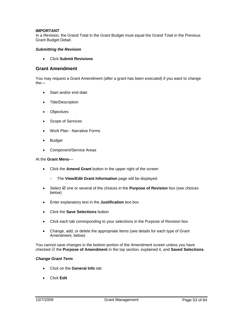#### **IMPORTANT**

In a Revision, the Grand Total in the Grant Budget must equal the Grand Total in the Previous Grant Budget Detail.

#### *Submitting the Revision*

• Click **Submit Revisions**

#### **Grant Amendment**

You may request a Grant Amendment (after a grant has been executed) if you want to change the—

- Start and/or end date
- Title/Description
- Objectives
- Scope of Services
- Work Plan Narrative Forms
- Budget
- Component/Service Areas

#### At the **Grant Menu**—

- Click the **Amend Grant** button in the upper right of the screen
	- − The **View/Edit Grant Information** page will be displayed
- Select **⊠** one or several of the choices in the **Purpose of Revision** box (see choices below)
- Enter explanatory text in the **Justification** text box
- Click the **Save Selections** button
- Click each tab corresponding to your selections in the Purpose of Revision box
- Change, add, or delete the appropriate items (see details for each type of Grant Amendment, below)

You cannot save changes in the bottom portion of the Amendment screen unless you have checked 5 the **Purpose of Amendment** in the top section, explained it, and **Saved Selections**.

#### *Change Grant Term*

- Click on the **General Info** tab
- Click **Edit**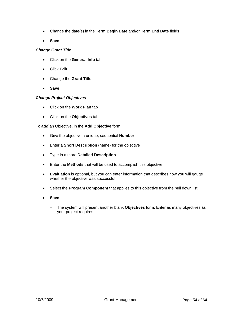- Change the date(s) in the **Term Begin Date** and/or **Term End Date** fields
- **Save**

#### *Change Grant Title*

- Click on the **General Info** tab
- Click **Edit**
- Change the **Grant Title**
- **Save**

#### *Change Project Objectives*

- Click on the **Work Plan** tab
- Click on the **Objectives** tab

#### To *add* an Objective, in the **Add Objective** form

- Give the objective a unique, sequential **Number**
- Enter a **Short Description** (name) for the objective
- Type in a more **Detailed Description**
- Enter the **Methods** that will be used to accomplish this objective
- **Evaluation** is optional, but you can enter information that describes how you will gauge whether the objective was successful
- Select the **Program Component** that applies to this objective from the pull down list
- **Save** 
	- − The system will present another blank **Objectives** form. Enter as many objectives as your project requires.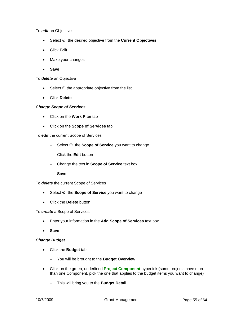#### To *edit* an Objective

- Select  $\odot$  the desired objective from the **Current Objectives**
- Click **Edit**
- Make your changes
- **Save**

#### To *delete* an Objective

- $\bullet$  Select  $\odot$  the appropriate objective from the list
- Click **Delete**

#### *Change Scope of Services*

- Click on the **Work Plan** tab
- Click on the **Scope of Services** tab

#### To *edit* the current Scope of Services

- − Select ⊙ the **Scope of Service** you want to change
- − Click the **Edit** button
- − Change the text in **Scope of Service** text box
- − **Save**

To *delete* the current Scope of Services

- Select  $\odot$  the **Scope of Service** you want to change
- Click the **Delete** button

To *create* a Scope of Services

- Enter your information in the **Add Scope of Services** text box
- **Save**

#### *Change Budget*

- Click the **Budget** tab
	- − You will be brought to the **Budget Overview**
- Click on the green, underlined **Project Component** hyperlink (some projects have more than one Component, pick the one that applies to the budget items you want to change)
	- − This will bring you to the **Budget Detail**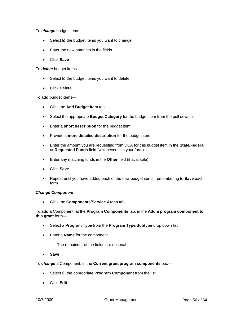To *change* budget items—

- Select  $\boxtimes$  the budget items you want to change
- Enter the new amounts in the fields
- Click **Save**

To *delete* budget items—

- Select  $\boxtimes$  the budget items you want to delete
- Click **Delete**

To *add* budget items—

- Click the **Add Budget Item** tab
- Select the appropriate **Budget Category** for the budget item from the pull down list
- Enter a **short description** for the budget item
- Provide a **more detailed description** for the budget item
- Enter the amount you are requesting from DCA for this budget item in the **State/Federal** or **Requested Funds** field (whichever is in your form)
- Enter any matching funds in the **Other** field (if available)
- Click **Save**
- Repeat until you have added each of the new budget items, remembering to **Save** each form

#### *Change Component*

• Click the **Components/Service Areas** tab

To *add* a Component, at the **Program Components** tab, in the **Add a program component to this grant** form—

- Select a **Program Type** from the **Program Type/Subtype** drop down list
- Enter a **Name** for the component
	- − The remainder of the fields are optional
- **Save**

To *change* a Component, in the **Current grant program components** box—

- Select  $\odot$  the appropriate **Program Component** from the list
- Click **Edit**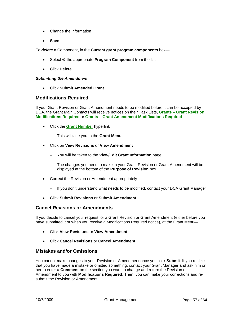- Change the information
- **Save**

To *delete* a Component, in the **Current grant program components** box—

- Select  $\odot$  the appropriate **Program Component** from the list
- Click **Delete**

#### *Submitting the Amendment*

• Click **Submit Amended Grant**

#### **Modifications Required**

If your Grant Revision or Grant Amendment needs to be modified before it can be accepted by DCA, the Grant Main Contacts will receive notices on their Task Lists, **Grants – Grant Revision Modifications Required** or **Grants – Grant Amendment Modifications Required**.

- Click the **Grant Number** hyperlink
	- − This will take you to the **Grant Menu**
- Click on **View Revisions** or **View Amendment**
	- − You will be taken to the **View/Edit Grant Information** page
	- − The changes you need to make in your Grant Revision or Grant Amendment will be displayed at the bottom of the **Purpose of Revision** box
- Correct the Revision or Amendment appropriately
	- − If you don't understand what needs to be modified, contact your DCA Grant Manager
- Click **Submit Revisions** or **Submit Amendment**

#### **Cancel Revisions or Amendments**

If you decide to cancel your request for a Grant Revision or Grant Amendment (either before you have submitted it or when you receive a Modifications Required notice), at the Grant Menu—

- Click **View Revisions** or **View Amendment**
- Click **Cancel Revisions** or **Cancel Amendment**

#### **Mistakes and/or Omissions**

You cannot make changes to your Revision or Amendment once you click **Submit**. If you realize that you have made a mistake or omitted something, contact your Grant Manager and ask him or her to enter a **Comment** on the section you want to change and return the Revision or Amendment to you with **Modifications Required**. Then, you can make your corrections and resubmit the Revision or Amendment.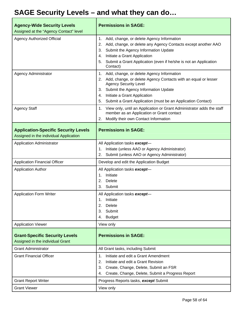# <span id="page-57-0"></span>**SAGE Security Levels – and what they can do…**

| <b>Agency-Wide Security Levels</b><br>Assigned at the "Agency Contact" level          | <b>Permissions in SAGE:</b>                                                                                                                                                                                                                                                                                      |  |
|---------------------------------------------------------------------------------------|------------------------------------------------------------------------------------------------------------------------------------------------------------------------------------------------------------------------------------------------------------------------------------------------------------------|--|
| <b>Agency Authorized Official</b>                                                     | Add, change, or delete Agency Information<br>1.<br>Add, change, or delete any Agency Contacts except another AAO<br>2.<br>Submit the Agency Information Update<br>3.<br>Initiate a Grant Application<br>4.<br>Submit a Grant Application (even if he/she is not an Application<br>5.<br>Contact)                 |  |
| <b>Agency Administrator</b>                                                           | Add, change, or delete Agency Information<br>1.<br>Add, change, or delete Agency Contacts with an equal or lesser<br>2.<br><b>Agency Security Level</b><br>Submit the Agency Information Update<br>3.<br>Initiate a Grant Application<br>4.<br>Submit a Grant Application (must be an Application Contact)<br>5. |  |
| <b>Agency Staff</b>                                                                   | View only, until an Application or Grant Administrator adds the staff<br>1.<br>member as an Application or Grant contact<br>Modify their own Contact Information<br>2.                                                                                                                                           |  |
| <b>Application-Specific Security Levels</b><br>Assigned in the individual Application | <b>Permissions in SAGE:</b>                                                                                                                                                                                                                                                                                      |  |
| <b>Application Administrator</b>                                                      | All Application tasks except-<br>Initiate (unless AAO or Agency Administrator)<br>1.<br>Submit (unless AAO or Agency Administrator)<br>2.                                                                                                                                                                        |  |
| <b>Application Financial Officer</b>                                                  | Develop and edit the Application Budget                                                                                                                                                                                                                                                                          |  |
| <b>Application Author</b>                                                             | All Application tasks except-<br>Initiate<br>1.<br>2.<br>Delete<br>3.<br>Submit                                                                                                                                                                                                                                  |  |
| <b>Application Form Writer</b>                                                        | All Application tasks except-<br>Initiate<br>1.<br><b>Delete</b><br>2.<br>Submit<br>3.<br><b>Budget</b><br>4.                                                                                                                                                                                                    |  |
| <b>Application Viewer</b>                                                             | View only                                                                                                                                                                                                                                                                                                        |  |
| <b>Grant-Specific Security Levels</b><br>Assigned in the individual Grant             | <b>Permissions in SAGE:</b>                                                                                                                                                                                                                                                                                      |  |
| <b>Grant Administrator</b>                                                            | All Grant tasks, including Submit                                                                                                                                                                                                                                                                                |  |
| <b>Grant Financial Officer</b>                                                        | Initiate and edit a Grant Amendment<br>$\mathbf 1$ .<br>2.<br>Initiate and edit a Grant Revision<br>Create, Change, Delete, Submit an FSR<br>3.<br>Create, Change, Delete, Submit a Progress Report<br>4.                                                                                                        |  |
| <b>Grant Report Writer</b>                                                            | Progress Reports tasks, except Submit                                                                                                                                                                                                                                                                            |  |
| <b>Grant Viewer</b>                                                                   | View only                                                                                                                                                                                                                                                                                                        |  |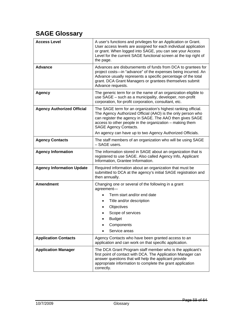# **SAGE Glossary**

| <b>Access Level</b>               | A user's functions and privileges for an Application or Grant.<br>User access levels are assigned for each individual application<br>or grant. When logged into SAGE, you can see your Access<br>Level for the current SAGE functional screen at the top right of<br>the page.       |
|-----------------------------------|--------------------------------------------------------------------------------------------------------------------------------------------------------------------------------------------------------------------------------------------------------------------------------------|
| <b>Advance</b>                    | Advances are disbursements of funds from DCA to grantees for<br>project costs-in "advance" of the expenses being incurred. An<br>Advance usually represents a specific percentage of the total<br>grant. DCA Grant Managers or grantees themselves submit<br>Advance requests.       |
| <b>Agency</b>                     | The generic term for or the name of an organization eligible to<br>use SAGE - such as a municipality, developer, non-profit<br>corporation, for-profit corporation, consultant, etc.                                                                                                 |
| <b>Agency Authorized Official</b> | The SAGE term for an organization's highest ranking official.<br>The Agency Authorized Official (AAO) is the only person who<br>can register the agency in SAGE. The AAO then gives SAGE<br>access to other people in the organization - making them<br><b>SAGE Agency Contacts.</b> |
|                                   | An agency can have up to two Agency Authorized Officials.                                                                                                                                                                                                                            |
| <b>Agency Contacts</b>            | The staff members of an organization who will be using SAGE<br>- SAGE users.                                                                                                                                                                                                         |
| <b>Agency Information</b>         | The information stored in SAGE about an organization that is<br>registered to use SAGE. Also called Agency Info, Applicant<br>Information, Grantee Information.                                                                                                                      |
| <b>Agency Information Update</b>  | Required information about an organization that must be<br>submitted to DCA at the agency's initial SAGE registration and<br>then annually.                                                                                                                                          |
| <b>Amendment</b>                  | Changing one or several of the following in a grant<br>agreement-<br>Term start and/or end date<br>Title and/or description<br>$\bullet$<br>Objectives<br>Scope of services<br><b>Budget</b><br>Components<br>Service areas                                                          |
| <b>Application Contacts</b>       | Agency Contacts who have been granted access to an<br>application and can work on that specific application.                                                                                                                                                                         |
| <b>Application Manager</b>        | The DCA Grant Program staff member who is the applicant's<br>first point of contact with DCA. The Application Manager can<br>answer questions that will help the applicant provide<br>appropriate information to complete the grant application<br>correctly.                        |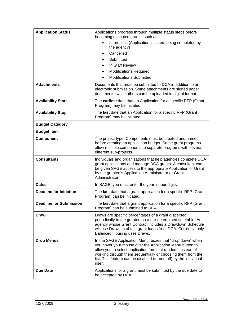| <b>Application Status</b>      | Applications progress through multiple status steps before<br>becoming executed grants, such as-                                                                                                                                                                                                                                  |
|--------------------------------|-----------------------------------------------------------------------------------------------------------------------------------------------------------------------------------------------------------------------------------------------------------------------------------------------------------------------------------|
|                                | In process (Application initiated, being completed by<br>the agency)                                                                                                                                                                                                                                                              |
|                                | Cancelled                                                                                                                                                                                                                                                                                                                         |
|                                | Submitted                                                                                                                                                                                                                                                                                                                         |
|                                | In Staff Review                                                                                                                                                                                                                                                                                                                   |
|                                | <b>Modifications Required</b>                                                                                                                                                                                                                                                                                                     |
|                                | <b>Modifications Submitted</b>                                                                                                                                                                                                                                                                                                    |
| <b>Attachments</b>             | Documents that must be submitted to DCA in addition to an<br>electronic submission. Some attachments are signed paper<br>documents, while others can be uploaded in digital format.                                                                                                                                               |
| <b>Availability Start</b>      | The earliest date that an Application for a specific RFP (Grant<br>Program) may be initiated.                                                                                                                                                                                                                                     |
| <b>Availability Stop</b>       | The last date that an Application for a specific RFP (Grant<br>Program) may be initiated.                                                                                                                                                                                                                                         |
| <b>Budget Category</b>         |                                                                                                                                                                                                                                                                                                                                   |
| <b>Budget Item</b>             |                                                                                                                                                                                                                                                                                                                                   |
| <b>Component</b>               | The project type. Components must be created and named<br>before creating an application budget. Some grant programs<br>allow multiple components to separate programs with several<br>different sub-projects.                                                                                                                    |
| <b>Consultants</b>             | Individuals and organizations that help agencies complete DCA<br>grant applications and manage DCA grants. A consultant can<br>be given SAGE access to the appropriate Application or Grant<br>by the grantee's Application Administrator or Grant<br>Administrator.                                                              |
| <b>Dates</b>                   | In SAGE, you must enter the year in four digits.                                                                                                                                                                                                                                                                                  |
| <b>Deadline for Initiation</b> | The last date that a grant application for a specific RFP (Grant<br>Program) can be initiated.                                                                                                                                                                                                                                    |
| <b>Deadline for Submission</b> | The last date that a grant application for a specific RFP (Grant<br>Program) can be submitted to DCA.                                                                                                                                                                                                                             |
| Draw                           | Draws are specific percentages of a grant dispersed<br>periodically to the grantee on a pre-determined timetable. An<br>agency whose Grant Contract includes a Drawdown Schedule<br>will use Draws to obtain grant funds from DCA. Currently, only<br>Balanced Housing uses Draws.                                                |
| <b>Drop Menus</b>              | In the SAGE Application Menu, boxes that "drop down" when<br>you hover your mouse over the Application Menu button to<br>allow you to select application forms at random, instead of<br>working through them sequentially or choosing them from the<br>list. This feature can be disabled (turned off) by the individual<br>user. |
| Due Date                       | Applications for a grant must be submitted by the due date to<br>be accepted by DCA.                                                                                                                                                                                                                                              |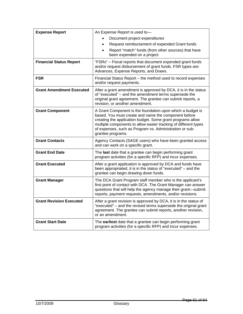| <b>Expense Report</b>           | An Expense Report is used to-                                                                                                                                                                                                                                                                                                       |
|---------------------------------|-------------------------------------------------------------------------------------------------------------------------------------------------------------------------------------------------------------------------------------------------------------------------------------------------------------------------------------|
|                                 | Document project expenditures                                                                                                                                                                                                                                                                                                       |
|                                 | Request reimbursement of expended Grant funds<br>$\bullet$                                                                                                                                                                                                                                                                          |
|                                 | Report "match" funds (from other sources) that have<br>been expended on a project                                                                                                                                                                                                                                                   |
| <b>Financial Status Report</b>  | "FSRs" – Fiscal reports that document expended grant funds<br>and/or request disbursement of grant funds. FSR types are:<br>Advances, Expense Reports, and Draws.                                                                                                                                                                   |
| <b>FSR</b>                      | Financial Status Report - the method used to record expenses<br>and/or request payments.                                                                                                                                                                                                                                            |
| <b>Grant Amendment Executed</b> | After a grant amendment is approved by DCA, it is in the status<br>of "executed" - and the amendment terms supersede the<br>original grant agreement. The grantee can submit reports, a<br>revision, or another amendment.                                                                                                          |
| <b>Grant Component</b>          | A Grant Component is the foundation upon which a budget is<br>based. You must create and name the component before<br>creating the application budget. Some grant programs allow<br>multiple components to allow easier tracking of different types<br>of expenses, such as Program vs. Administration or sub-<br>grantee programs. |
| <b>Grant Contacts</b>           | Agency Contacts (SAGE users) who have been granted access<br>and can work on a specific grant.                                                                                                                                                                                                                                      |
| <b>Grant End Date</b>           | The last date that a grantee can begin performing grant<br>program activities (for a specific RFP) and incur expenses.                                                                                                                                                                                                              |
| <b>Grant Executed</b>           | After a grant application is approved by DCA and funds have<br>been appropriated, it is in the status of "executed" – and the<br>grantee can begin drawing down funds.                                                                                                                                                              |
| <b>Grant Manager</b>            | The DCA Grant Program staff member who is the applicant's<br>first point of contact with DCA. The Grant Manager can answer<br>questions that will help the agency manage their grant-submit<br>reports, payment requests, amendments, and/or revisions.                                                                             |
| <b>Grant Revision Executed</b>  | After a grant revision is approved by DCA, it is in the status of<br>"executed" - and the revised terms supersede the original grant<br>agreement. The grantee can submit reports, another revision,<br>or an amendment.                                                                                                            |
| <b>Grant Start Date</b>         | The earliest date that a grantee can begin performing grant<br>program activities (for a specific RFP) and incur expenses.                                                                                                                                                                                                          |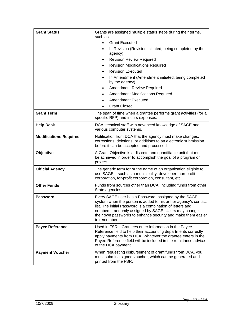| <b>Grant Status</b>           | Grants are assigned multiple status steps during their terms,<br>such as-                                                                                                                                                                                                                                                    |
|-------------------------------|------------------------------------------------------------------------------------------------------------------------------------------------------------------------------------------------------------------------------------------------------------------------------------------------------------------------------|
|                               | <b>Grant Executed</b><br>$\bullet$                                                                                                                                                                                                                                                                                           |
|                               | In Revision (Revision initiated, being completed by the<br>$\bullet$<br>agency)                                                                                                                                                                                                                                              |
|                               | <b>Revision Review Required</b><br>$\bullet$                                                                                                                                                                                                                                                                                 |
|                               | <b>Revision Modifications Required</b><br>$\bullet$                                                                                                                                                                                                                                                                          |
|                               | <b>Revision Executed</b>                                                                                                                                                                                                                                                                                                     |
|                               | In Amendment (Amendment initiated, being completed<br>$\bullet$<br>by the agency)                                                                                                                                                                                                                                            |
|                               | <b>Amendment Review Required</b><br>$\bullet$                                                                                                                                                                                                                                                                                |
|                               | <b>Amendment Modifications Required</b>                                                                                                                                                                                                                                                                                      |
|                               | <b>Amendment Executed</b>                                                                                                                                                                                                                                                                                                    |
|                               | <b>Grant Closed</b>                                                                                                                                                                                                                                                                                                          |
| <b>Grant Term</b>             | The span of time when a grantee performs grant activities (for a<br>specific RFP) and incurs expenses.                                                                                                                                                                                                                       |
| <b>Help Desk</b>              | DCA technical staff with advanced knowledge of SAGE and<br>various computer systems.                                                                                                                                                                                                                                         |
| <b>Modifications Required</b> | Notification from DCA that the agency must make changes,<br>corrections, deletions, or additions to an electronic submission<br>before it can be accepted and processed.                                                                                                                                                     |
| Objective                     | A Grant Objective is a discrete and quantifiable unit that must<br>be achieved in order to accomplish the goal of a program or<br>project.                                                                                                                                                                                   |
| <b>Official Agency</b>        | The generic term for or the name of an organization eligible to<br>use SAGE - such as a municipality, developer, non-profit<br>corporation, for-profit corporation, consultant, etc.                                                                                                                                         |
| <b>Other Funds</b>            | Funds from sources other than DCA, including funds from other<br>State agencies                                                                                                                                                                                                                                              |
| <b>Password</b>               | Every SAGE user has a Password, assigned by the SAGE<br>system when the person is added to his or her agency's contact<br>list. The initial Password is a combination of letters and<br>numbers, randomly assigned by SAGE. Users may change<br>their own passwords to enhance security and make them easier<br>to remember. |
| <b>Payee Reference</b>        | Used in FSRs. Grantees enter information in the Payee<br>Reference field to help their accounting departments correctly<br>apply payments from DCA. Whatever the grantee enters in the<br>Payee Reference field will be included in the remittance advice<br>of the DCA payment.                                             |
| <b>Payment Voucher</b>        | When requesting disbursement of grant funds from DCA, you<br>must submit a signed voucher, which can be generated and<br>printed from the FSR.                                                                                                                                                                               |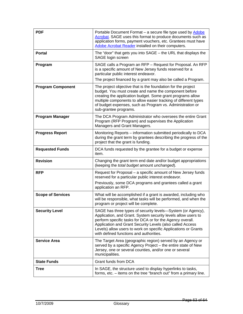| <b>PDF</b>               | Portable Document Format - a secure file type used by Adobe<br>Acrobat. SAGE uses this format to produce documents such as<br>application forms, payment vouchers, etc. Grantees must have<br>Adobe Acrobat Reader installed on their computers.                                                                                                                    |
|--------------------------|---------------------------------------------------------------------------------------------------------------------------------------------------------------------------------------------------------------------------------------------------------------------------------------------------------------------------------------------------------------------|
| <b>Portal</b>            | The "door" that gets you into $SAGE - the URL$ that displays the<br>SAGE login screen                                                                                                                                                                                                                                                                               |
| Program                  | SAGE calls a Program an RFP - Request for Proposal. An RFP<br>is a specific amount of New Jersey funds reserved for a<br>particular public interest endeavor.<br>The project financed by a grant may also be called a Program.                                                                                                                                      |
| <b>Program Component</b> | The project objective that is the foundation for the project<br>budget. You must create and name the component before<br>creating the application budget. Some grant programs allow<br>multiple components to allow easier tracking of different types<br>of budget expenses, such as Program vs. Administration or<br>sub-grantee programs.                        |
| <b>Program Manager</b>   | The DCA Program Administrator who oversees the entire Grant<br>Program (RFP Program) and supervises the Application<br>Managers and Grant Managers.                                                                                                                                                                                                                 |
| <b>Progress Report</b>   | Monitoring Reports - information submitted periodically to DCA<br>during the grant term by grantees describing the progress of the<br>project that the grant is funding.                                                                                                                                                                                            |
| <b>Requested Funds</b>   | DCA funds requested by the grantee for a budget or expense<br>item.                                                                                                                                                                                                                                                                                                 |
| <b>Revision</b>          | Changing the grant term end date and/or budget appropriations<br>(keeping the total budget amount unchanged).                                                                                                                                                                                                                                                       |
| <b>RFP</b>               | Request for Proposal – a specific amount of New Jersey funds<br>reserved for a particular public interest endeavor.<br>Previously, some DCA programs and grantees called a grant<br>application an RFP.                                                                                                                                                             |
| <b>Scope of Services</b> | What will be accomplished if a grant is awarded, including who<br>will be responsible, what tasks will be performed, and when the<br>program or project will be complete.                                                                                                                                                                                           |
| <b>Security Level</b>    | SAGE has three types of security levels-System (or Agency),<br>Application, and Grant. System security levels allow users to<br>perform specific tasks for DCA or for the Agency overall.<br>Application and Grant Security Levels (also called Access<br>Levels) allow users to work on specific Applications or Grants<br>with defined functions and authorities. |
| <b>Service Area</b>      | The Target Area (geographic region) served by an Agency or<br>served by a specific Agency Project - the entire state of New<br>Jersey, one or several counties, and/or one or several<br>municipalities.                                                                                                                                                            |
| <b>State Funds</b>       | Grant funds from DCA                                                                                                                                                                                                                                                                                                                                                |
| <b>Tree</b>              | In SAGE, the structure used to display hyperlinks to tasks,<br>forms, etc. – items on the tree "branch out" from a primary line.                                                                                                                                                                                                                                    |